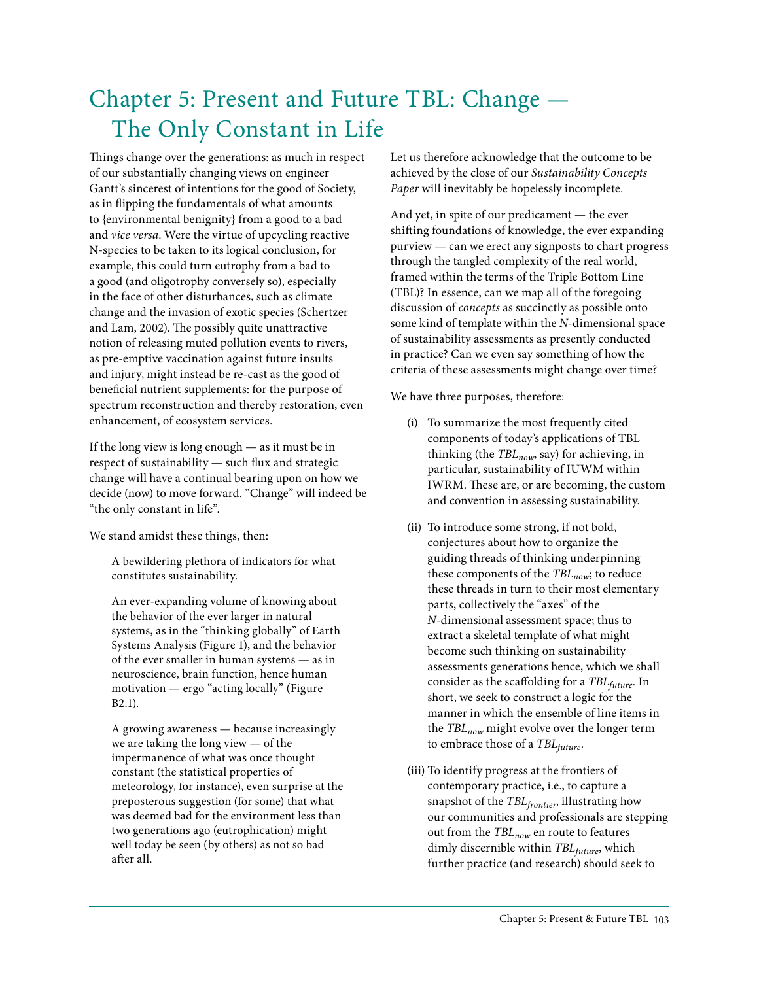# Chapter 5: Present and Future TBL: Change — The Only Constant in Life

Things change over the generations: as much in respect of our substantially changing views on engineer Gantt's sincerest of intentions for the good of Society, as in flipping the fundamentals of what amounts to {environmental benignity} from a good to a bad and *vice versa*. Were the virtue of upcycling reactive N-species to be taken to its logical conclusion, for example, this could turn eutrophy from a bad to a good (and oligotrophy conversely so), especially in the face of other disturbances, such as climate change and the invasion of exotic species (Schertzer and Lam, 2002). The possibly quite unattractive notion of releasing muted pollution events to rivers, as pre-emptive vaccination against future insults and injury, might instead be re-cast as the good of beneficial nutrient supplements: for the purpose of spectrum reconstruction and thereby restoration, even enhancement, of ecosystem services.

If the long view is long enough — as it must be in respect of sustainability — such flux and strategic change will have a continual bearing upon on how we decide (now) to move forward. "Change" will indeed be "the only constant in life".

We stand amidst these things, then:

A bewildering plethora of indicators for what constitutes sustainability.

An ever-expanding volume of knowing about the behavior of the ever larger in natural systems, as in the "thinking globally" of Earth Systems Analysis (Figure 1), and the behavior of the ever smaller in human systems — as in neuroscience, brain function, hence human motivation — ergo "acting locally" (Figure B2.1).

A growing awareness — because increasingly we are taking the long view — of the impermanence of what was once thought constant (the statistical properties of meteorology, for instance), even surprise at the preposterous suggestion (for some) that what was deemed bad for the environment less than two generations ago (eutrophication) might well today be seen (by others) as not so bad after all.

Let us therefore acknowledge that the outcome to be achieved by the close of our *Sustainability Concepts Paper* will inevitably be hopelessly incomplete.

And yet, in spite of our predicament — the ever shifting foundations of knowledge, the ever expanding purview — can we erect any signposts to chart progress through the tangled complexity of the real world, framed within the terms of the Triple Bottom Line (TBL)? In essence, can we map all of the foregoing discussion of *concepts* as succinctly as possible onto some kind of template within the *N*-dimensional space of sustainability assessments as presently conducted in practice? Can we even say something of how the criteria of these assessments might change over time?

We have three purposes, therefore:

- (i) To summarize the most frequently cited components of today's applications of TBL thinking (the *TBL<sub>now*</sub>, say) for achieving, in particular, sustainability of IUWM within IWRM. These are, or are becoming, the custom and convention in assessing sustainability.
- (ii) To introduce some strong, if not bold, conjectures about how to organize the guiding threads of thinking underpinning these components of the *TBL<sub>now</sub>*; to reduce these threads in turn to their most elementary parts, collectively the "axes" of the *N*-dimensional assessment space; thus to extract a skeletal template of what might become such thinking on sustainability assessments generations hence, which we shall consider as the scaffolding for a *TBLfuture*. In short, we seek to construct a logic for the manner in which the ensemble of line items in the *TBL<sub>now</sub>* might evolve over the longer term to embrace those of a *TBLfuture*.
- (iii) To identify progress at the frontiers of contemporary practice, i.e., to capture a snapshot of the *TBLfrontier*, illustrating how our communities and professionals are stepping out from the *TBLnow* en route to features dimly discernible within *TBLfuture*, which further practice (and research) should seek to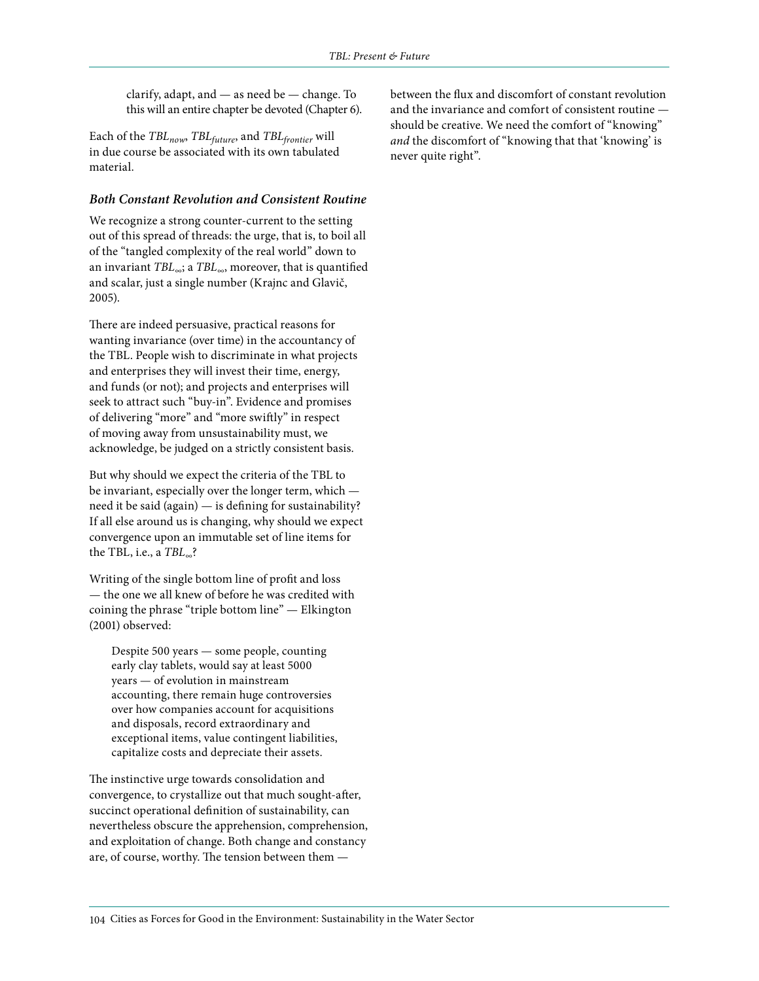clarify, adapt, and — as need be — change. To this will an entire chapter be devoted (Chapter 6).

Each of the *TBLnow*, *TBLfuture*, and *TBLfrontier* will in due course be associated with its own tabulated material.

#### *Both Constant Revolution and Consistent Routine*

We recognize a strong counter-current to the setting out of this spread of threads: the urge, that is, to boil all of the "tangled complexity of the real world" down to an invariant *TBL*∞; a *TBL*∞, moreover, that is quantified and scalar, just a single number (Krajnc and Glavič, 2005).

There are indeed persuasive, practical reasons for wanting invariance (over time) in the accountancy of the TBL. People wish to discriminate in what projects and enterprises they will invest their time, energy, and funds (or not); and projects and enterprises will seek to attract such "buy-in". Evidence and promises of delivering "more" and "more swiftly" in respect of moving away from unsustainability must, we acknowledge, be judged on a strictly consistent basis.

But why should we expect the criteria of the TBL to be invariant, especially over the longer term, which need it be said (again) — is defining for sustainability? If all else around us is changing, why should we expect convergence upon an immutable set of line items for the TBL, i.e., a *TBL*∞?

Writing of the single bottom line of profit and loss — the one we all knew of before he was credited with coining the phrase "triple bottom line" — Elkington (2001) observed:

Despite 500 years — some people, counting early clay tablets, would say at least 5000 years — of evolution in mainstream accounting, there remain huge controversies over how companies account for acquisitions and disposals, record extraordinary and exceptional items, value contingent liabilities, capitalize costs and depreciate their assets.

The instinctive urge towards consolidation and convergence, to crystallize out that much sought-after, succinct operational definition of sustainability, can nevertheless obscure the apprehension, comprehension, and exploitation of change. Both change and constancy are, of course, worthy. The tension between them —

between the flux and discomfort of constant revolution and the invariance and comfort of consistent routine should be creative. We need the comfort of "knowing" *and* the discomfort of "knowing that that 'knowing' is never quite right".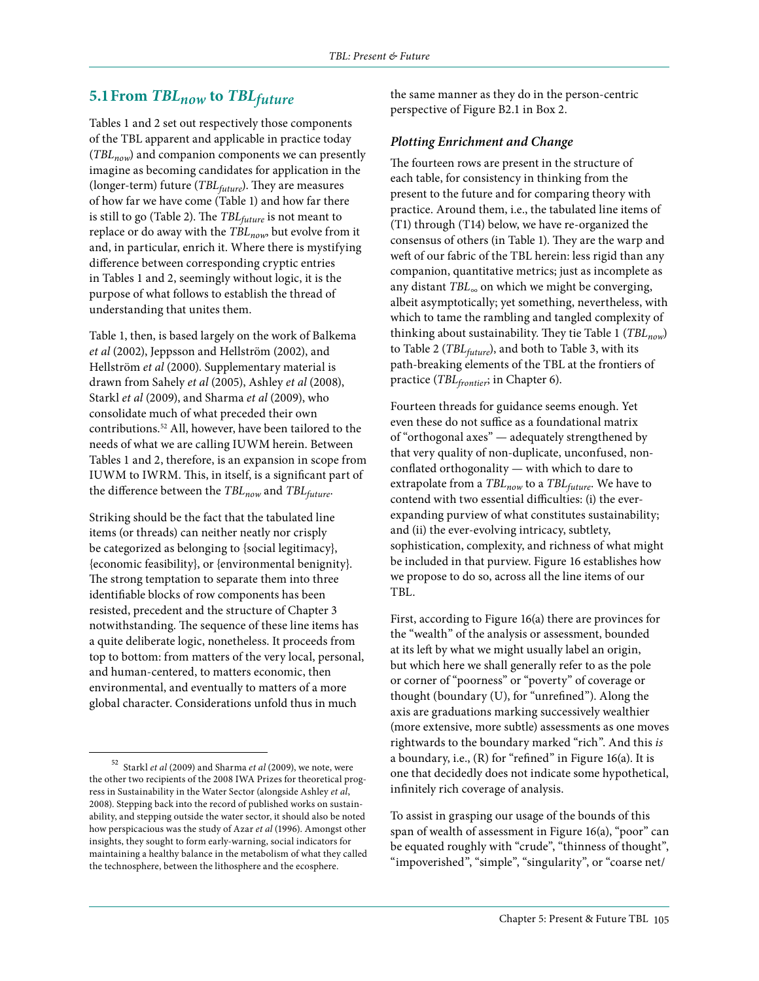# **5.1From** *TBLnow* **to** *TBLfuture*

Tables 1 and 2 set out respectively those components of the TBL apparent and applicable in practice today (*TBLnow*) and companion components we can presently imagine as becoming candidates for application in the (longer-term) future (*TBLfuture*). They are measures of how far we have come (Table 1) and how far there is still to go (Table 2). The *TBLfuture* is not meant to replace or do away with the *TBLnow*, but evolve from it and, in particular, enrich it. Where there is mystifying difference between corresponding cryptic entries in Tables 1 and 2, seemingly without logic, it is the purpose of what follows to establish the thread of understanding that unites them.

Table 1, then, is based largely on the work of Balkema *et al* (2002), Jeppsson and Hellström (2002), and Hellström *et al* (2000). Supplementary material is drawn from Sahely *et al* (2005), Ashley *et al* (2008), Starkl *et al* (2009), and Sharma *et al* (2009), who consolidate much of what preceded their own contributions.52 All, however, have been tailored to the needs of what we are calling IUWM herein. Between Tables 1 and 2, therefore, is an expansion in scope from IUWM to IWRM. This, in itself, is a significant part of the difference between the *TBL<sub>now</sub>* and *TBL<sub>future</sub>*.

Striking should be the fact that the tabulated line items (or threads) can neither neatly nor crisply be categorized as belonging to {social legitimacy}, {economic feasibility}, or {environmental benignity}. The strong temptation to separate them into three identifiable blocks of row components has been resisted, precedent and the structure of Chapter 3 notwithstanding. The sequence of these line items has a quite deliberate logic, nonetheless. It proceeds from top to bottom: from matters of the very local, personal, and human-centered, to matters economic, then environmental, and eventually to matters of a more global character. Considerations unfold thus in much

the same manner as they do in the person-centric perspective of Figure B2.1 in Box 2.

#### *Plotting Enrichment and Change*

The fourteen rows are present in the structure of each table, for consistency in thinking from the present to the future and for comparing theory with practice. Around them, i.e., the tabulated line items of (T1) through (T14) below, we have re-organized the consensus of others (in Table 1). They are the warp and weft of our fabric of the TBL herein: less rigid than any companion, quantitative metrics; just as incomplete as any distant *TBL∞* on which we might be converging, albeit asymptotically; yet something, nevertheless, with which to tame the rambling and tangled complexity of thinking about sustainability. They tie Table 1 (TBL<sub>now</sub>) to Table 2 (*TBL<sub>future</sub>*), and both to Table 3, with its path-breaking elements of the TBL at the frontiers of practice (*TBLfrontier*; in Chapter 6).

Fourteen threads for guidance seems enough. Yet even these do not suffice as a foundational matrix of "orthogonal axes" — adequately strengthened by that very quality of non-duplicate, unconfused, nonconflated orthogonality — with which to dare to extrapolate from a *TBL<sub>now</sub>* to a *TBL<sub>future</sub>*. We have to contend with two essential difficulties: (i) the everexpanding purview of what constitutes sustainability; and (ii) the ever-evolving intricacy, subtlety, sophistication, complexity, and richness of what might be included in that purview. Figure 16 establishes how we propose to do so, across all the line items of our TBL.

First, according to Figure 16(a) there are provinces for the "wealth" of the analysis or assessment, bounded at its left by what we might usually label an origin, but which here we shall generally refer to as the pole or corner of "poorness" or "poverty" of coverage or thought (boundary (U), for "unrefined"). Along the axis are graduations marking successively wealthier (more extensive, more subtle) assessments as one moves rightwards to the boundary marked "rich". And this *is* a boundary, i.e., (R) for "refined" in Figure 16(a). It is one that decidedly does not indicate some hypothetical, infinitely rich coverage of analysis.

To assist in grasping our usage of the bounds of this span of wealth of assessment in Figure 16(a), "poor" can be equated roughly with "crude", "thinness of thought", "impoverished", "simple", "singularity", or "coarse net/

<sup>52</sup> Starkl *et al* (2009) and Sharma *et al* (2009), we note, were the other two recipients of the 2008 IWA Prizes for theoretical progress in Sustainability in the Water Sector (alongside Ashley *et al*, 2008). Stepping back into the record of published works on sustainability, and stepping outside the water sector, it should also be noted how perspicacious was the study of Azar *et al* (1996). Amongst other insights, they sought to form early-warning, social indicators for maintaining a healthy balance in the metabolism of what they called the technosphere, between the lithosphere and the ecosphere.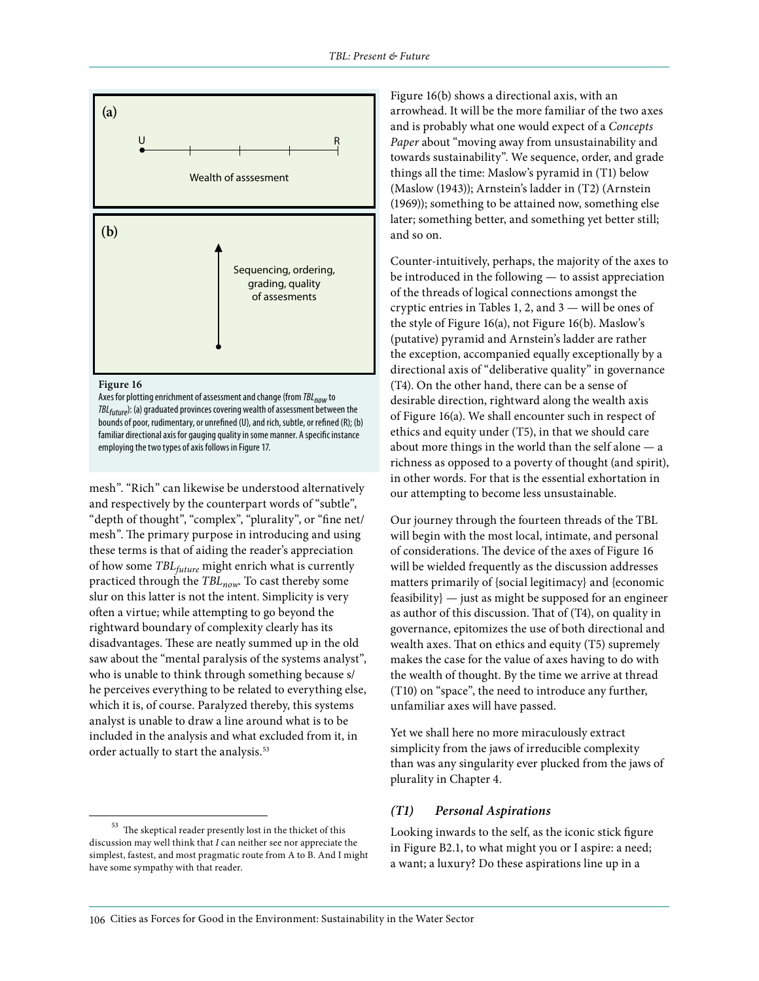

#### **Figure 16**

Axes for plotting enrichment of assessment and change (from *TBL<sub>now</sub>* to *TBLfuture*): (a) graduated provinces covering wealth of assessment between the bounds of poor, rudimentary, or unrefined (U), and rich, subtle, or refined (R); (b) familiar directional axis for gauging quality in some manner. A specific instance employing the two types of axis follows in Figure 17.

mesh". "Rich" can likewise be understood alternatively and respectively by the counterpart words of "subtle", "depth of thought", "complex", "plurality", or "fine net/ mesh". The primary purpose in introducing and using these terms is that of aiding the reader's appreciation of how some *TBLfuture* might enrich what is currently practiced through the *TBLnow*. To cast thereby some slur on this latter is not the intent. Simplicity is very often a virtue; while attempting to go beyond the rightward boundary of complexity clearly has its disadvantages. These are neatly summed up in the old saw about the "mental paralysis of the systems analyst", who is unable to think through something because s/ he perceives everything to be related to everything else, which it is, of course. Paralyzed thereby, this systems analyst is unable to draw a line around what is to be included in the analysis and what excluded from it, in order actually to start the analysis.<sup>53</sup>

 $^{\rm 53}$  The skeptical reader presently lost in the thicket of this discussion may well think that *I* can neither see nor appreciate the simplest, fastest, and most pragmatic route from A to B. And I might have some sympathy with that reader.

Figure 16(b) shows a directional axis, with an arrowhead. It will be the more familiar of the two axes and is probably what one would expect of a *Concepts Paper* about "moving away from unsustainability and towards sustainability". We sequence, order, and grade things all the time: Maslow's pyramid in (T1) below (Maslow (1943)); Arnstein's ladder in (T2) (Arnstein (1969)); something to be attained now, something else later; something better, and something yet better still; and so on.

Counter-intuitively, perhaps, the majority of the axes to be introduced in the following — to assist appreciation of the threads of logical connections amongst the cryptic entries in Tables 1, 2, and 3 — will be ones of the style of Figure 16(a), not Figure 16(b). Maslow's (putative) pyramid and Arnstein's ladder are rather the exception, accompanied equally exceptionally by a directional axis of "deliberative quality" in governance (T4). On the other hand, there can be a sense of desirable direction, rightward along the wealth axis of Figure 16(a). We shall encounter such in respect of ethics and equity under (T5), in that we should care about more things in the world than the self alone — a richness as opposed to a poverty of thought (and spirit), in other words. For that is the essential exhortation in our attempting to become less unsustainable.

Our journey through the fourteen threads of the TBL will begin with the most local, intimate, and personal of considerations. The device of the axes of Figure 16 will be wielded frequently as the discussion addresses matters primarily of {social legitimacy} and {economic feasibility} — just as might be supposed for an engineer as author of this discussion. That of (T4), on quality in governance, epitomizes the use of both directional and wealth axes. That on ethics and equity (T5) supremely makes the case for the value of axes having to do with the wealth of thought. By the time we arrive at thread (T10) on "space", the need to introduce any further, unfamiliar axes will have passed.

Yet we shall here no more miraculously extract simplicity from the jaws of irreducible complexity than was any singularity ever plucked from the jaws of plurality in Chapter 4.

#### *(T1) Personal Aspirations*

Looking inwards to the self, as the iconic stick figure in Figure B2.1, to what might you or I aspire: a need; a want; a luxury? Do these aspirations line up in a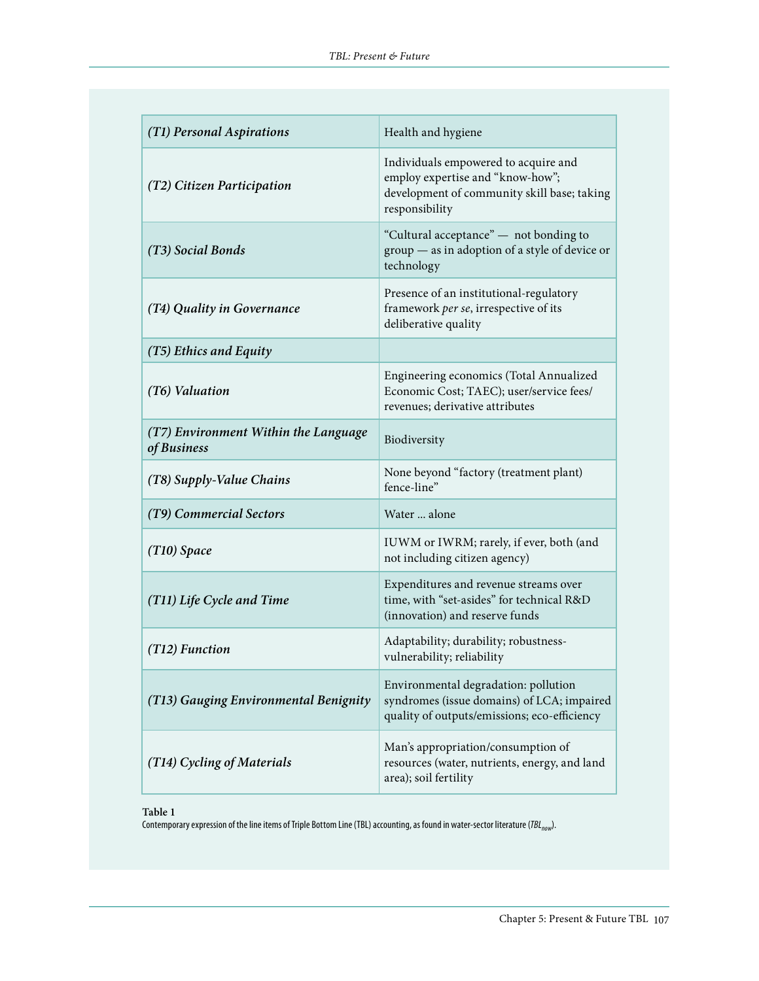| (T1) Personal Aspirations                           | Health and hygiene                                                                                                                        |
|-----------------------------------------------------|-------------------------------------------------------------------------------------------------------------------------------------------|
| (T2) Citizen Participation                          | Individuals empowered to acquire and<br>employ expertise and "know-how";<br>development of community skill base; taking<br>responsibility |
| (T3) Social Bonds                                   | "Cultural acceptance" — not bonding to<br>group - as in adoption of a style of device or<br>technology                                    |
| (T4) Quality in Governance                          | Presence of an institutional-regulatory<br>framework per se, irrespective of its<br>deliberative quality                                  |
| (T5) Ethics and Equity                              |                                                                                                                                           |
| (T6) Valuation                                      | Engineering economics (Total Annualized<br>Economic Cost; TAEC); user/service fees/<br>revenues; derivative attributes                    |
| (T7) Environment Within the Language<br>of Business | Biodiversity                                                                                                                              |
| (T8) Supply-Value Chains                            | None beyond "factory (treatment plant)<br>fence-line"                                                                                     |
| (T9) Commercial Sectors                             | Water  alone                                                                                                                              |
| $(T10)$ Space                                       | IUWM or IWRM; rarely, if ever, both (and<br>not including citizen agency)                                                                 |
| (T11) Life Cycle and Time                           | Expenditures and revenue streams over<br>time, with "set-asides" for technical R&D<br>(innovation) and reserve funds                      |
| $(T12)$ Function                                    | Adaptability; durability; robustness-<br>vulnerability; reliability                                                                       |
| (T13) Gauging Environmental Benignity               | Environmental degradation: pollution<br>syndromes (issue domains) of LCA; impaired<br>quality of outputs/emissions; eco-efficiency        |
| (T14) Cycling of Materials                          | Man's appropriation/consumption of<br>resources (water, nutrients, energy, and land<br>area); soil fertility                              |

**Table 1**

Contemporary expression of the line items of Triple Bottom Line (TBL) accounting, as found in water-sector literature (*TBL<sub>now</sub>*).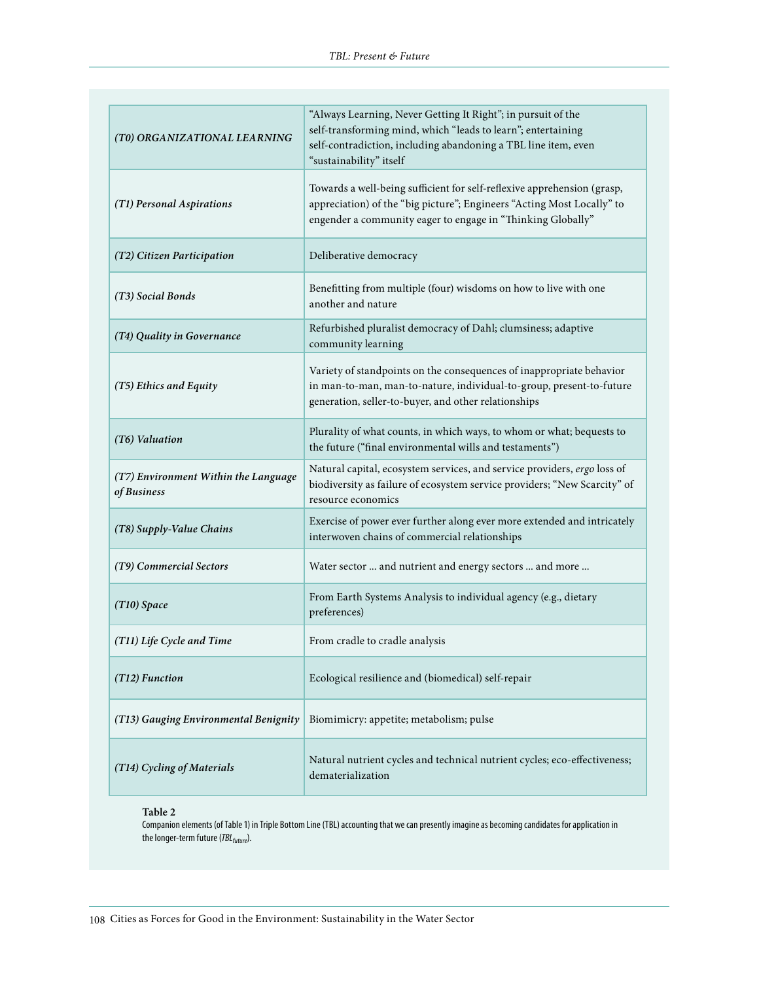| (T0) ORGANIZATIONAL LEARNING                        | "Always Learning, Never Getting It Right"; in pursuit of the<br>self-transforming mind, which "leads to learn"; entertaining<br>self-contradiction, including abandoning a TBL line item, even<br>"sustainability" itself |
|-----------------------------------------------------|---------------------------------------------------------------------------------------------------------------------------------------------------------------------------------------------------------------------------|
| (T1) Personal Aspirations                           | Towards a well-being sufficient for self-reflexive apprehension (grasp,<br>appreciation) of the "big picture"; Engineers "Acting Most Locally" to<br>engender a community eager to engage in "Thinking Globally"          |
| (T2) Citizen Participation                          | Deliberative democracy                                                                                                                                                                                                    |
| (T3) Social Bonds                                   | Benefitting from multiple (four) wisdoms on how to live with one<br>another and nature                                                                                                                                    |
| (T4) Quality in Governance                          | Refurbished pluralist democracy of Dahl; clumsiness; adaptive<br>community learning                                                                                                                                       |
| (T5) Ethics and Equity                              | Variety of standpoints on the consequences of inappropriate behavior<br>in man-to-man, man-to-nature, individual-to-group, present-to-future<br>generation, seller-to-buyer, and other relationships                      |
| (T6) Valuation                                      | Plurality of what counts, in which ways, to whom or what; bequests to<br>the future ("final environmental wills and testaments")                                                                                          |
| (T7) Environment Within the Language<br>of Business | Natural capital, ecosystem services, and service providers, ergo loss of<br>biodiversity as failure of ecosystem service providers; "New Scarcity" of<br>resource economics                                               |
| (T8) Supply-Value Chains                            | Exercise of power ever further along ever more extended and intricately<br>interwoven chains of commercial relationships                                                                                                  |
| (T9) Commercial Sectors                             | Water sector  and nutrient and energy sectors  and more                                                                                                                                                                   |
| $(T10)$ Space                                       | From Earth Systems Analysis to individual agency (e.g., dietary<br>preferences)                                                                                                                                           |
| (T11) Life Cycle and Time                           | From cradle to cradle analysis                                                                                                                                                                                            |
| (T12) Function                                      | Ecological resilience and (biomedical) self-repair                                                                                                                                                                        |
| (T13) Gauging Environmental Benignity               | Biomimicry: appetite; metabolism; pulse                                                                                                                                                                                   |
| (T14) Cycling of Materials                          | Natural nutrient cycles and technical nutrient cycles; eco-effectiveness;<br>dematerialization                                                                                                                            |

#### **Table 2**

Companion elements (of Table 1) in Triple Bottom Line (TBL) accounting that we can presently imagine as becoming candidates for application in the longer-term future (*TBLfuture*).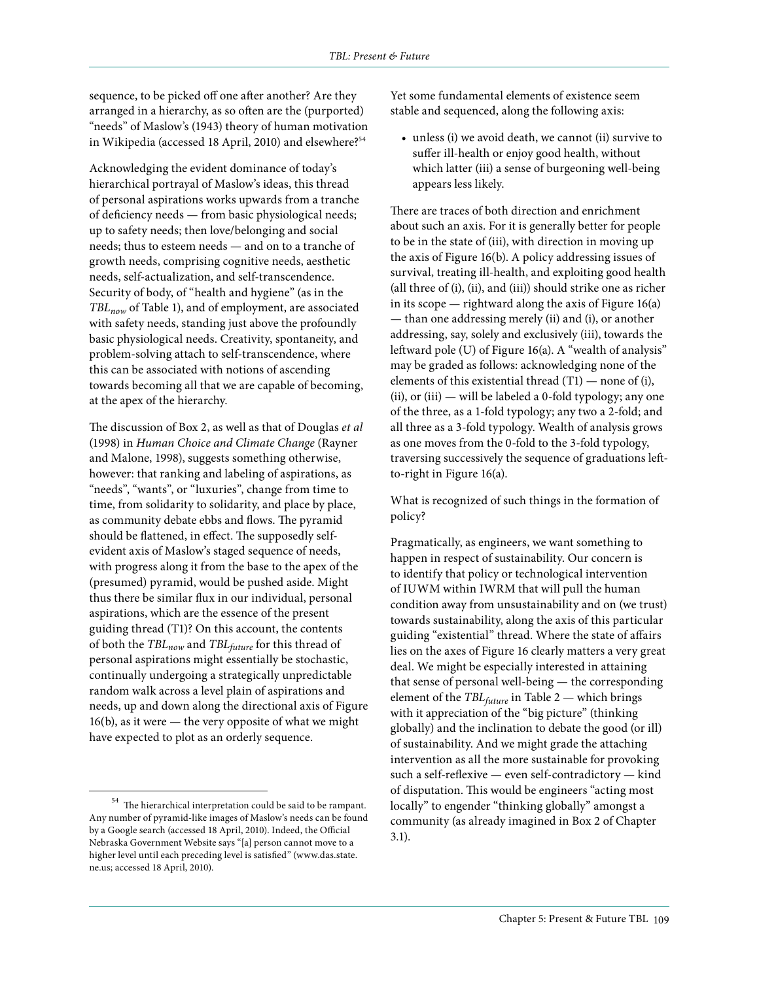sequence, to be picked off one after another? Are they arranged in a hierarchy, as so often are the (purported) "needs" of Maslow's (1943) theory of human motivation in Wikipedia (accessed 18 April, 2010) and elsewhere?<sup>54</sup>

Acknowledging the evident dominance of today's hierarchical portrayal of Maslow's ideas, this thread of personal aspirations works upwards from a tranche of deficiency needs — from basic physiological needs; up to safety needs; then love/belonging and social needs; thus to esteem needs — and on to a tranche of growth needs, comprising cognitive needs, aesthetic needs, self-actualization, and self-transcendence. Security of body, of "health and hygiene" (as in the *TBLnow* of Table 1), and of employment, are associated with safety needs, standing just above the profoundly basic physiological needs. Creativity, spontaneity, and problem-solving attach to self-transcendence, where this can be associated with notions of ascending towards becoming all that we are capable of becoming, at the apex of the hierarchy.

The discussion of Box 2, as well as that of Douglas *et al* (1998) in *Human Choice and Climate Change* (Rayner and Malone, 1998), suggests something otherwise, however: that ranking and labeling of aspirations, as "needs", "wants", or "luxuries", change from time to time, from solidarity to solidarity, and place by place, as community debate ebbs and flows. The pyramid should be flattened, in effect. The supposedly selfevident axis of Maslow's staged sequence of needs, with progress along it from the base to the apex of the (presumed) pyramid, would be pushed aside. Might thus there be similar flux in our individual, personal aspirations, which are the essence of the present guiding thread (T1)? On this account, the contents of both the *TBL<sub>now</sub>* and *TBL<sub>future</sub>* for this thread of personal aspirations might essentially be stochastic, continually undergoing a strategically unpredictable random walk across a level plain of aspirations and needs, up and down along the directional axis of Figure 16(b), as it were — the very opposite of what we might have expected to plot as an orderly sequence.

Yet some fundamental elements of existence seem stable and sequenced, along the following axis:

• unless (i) we avoid death, we cannot (ii) survive to suffer ill-health or enjoy good health, without which latter (iii) a sense of burgeoning well-being appears less likely.

There are traces of both direction and enrichment about such an axis. For it is generally better for people to be in the state of (iii), with direction in moving up the axis of Figure 16(b). A policy addressing issues of survival, treating ill-health, and exploiting good health (all three of (i), (ii), and (iii)) should strike one as richer in its scope — rightward along the axis of Figure  $16(a)$ — than one addressing merely (ii) and (i), or another addressing, say, solely and exclusively (iii), towards the leftward pole (U) of Figure 16(a). A "wealth of analysis" may be graded as follows: acknowledging none of the elements of this existential thread (T1) — none of (i), (ii), or (iii) — will be labeled a 0-fold typology; any one of the three, as a 1-fold typology; any two a 2-fold; and all three as a 3-fold typology. Wealth of analysis grows as one moves from the 0-fold to the 3-fold typology, traversing successively the sequence of graduations leftto-right in Figure 16(a).

What is recognized of such things in the formation of policy?

Pragmatically, as engineers, we want something to happen in respect of sustainability. Our concern is to identify that policy or technological intervention of IUWM within IWRM that will pull the human condition away from unsustainability and on (we trust) towards sustainability, along the axis of this particular guiding "existential" thread. Where the state of affairs lies on the axes of Figure 16 clearly matters a very great deal. We might be especially interested in attaining that sense of personal well-being — the corresponding element of the *TBLfuture* in Table 2 — which brings with it appreciation of the "big picture" (thinking globally) and the inclination to debate the good (or ill) of sustainability. And we might grade the attaching intervention as all the more sustainable for provoking such a self-reflexive — even self-contradictory — kind of disputation. This would be engineers "acting most locally" to engender "thinking globally" amongst a community (as already imagined in Box 2 of Chapter 3.1).

 $^{\rm 54}$  The hierarchical interpretation could be said to be rampant. Any number of pyramid-like images of Maslow's needs can be found by a Google search (accessed 18 April, 2010). Indeed, the Official Nebraska Government Website says "[a] person cannot move to a higher level until each preceding level is satisfied" (www.das.state. ne.us; accessed 18 April, 2010).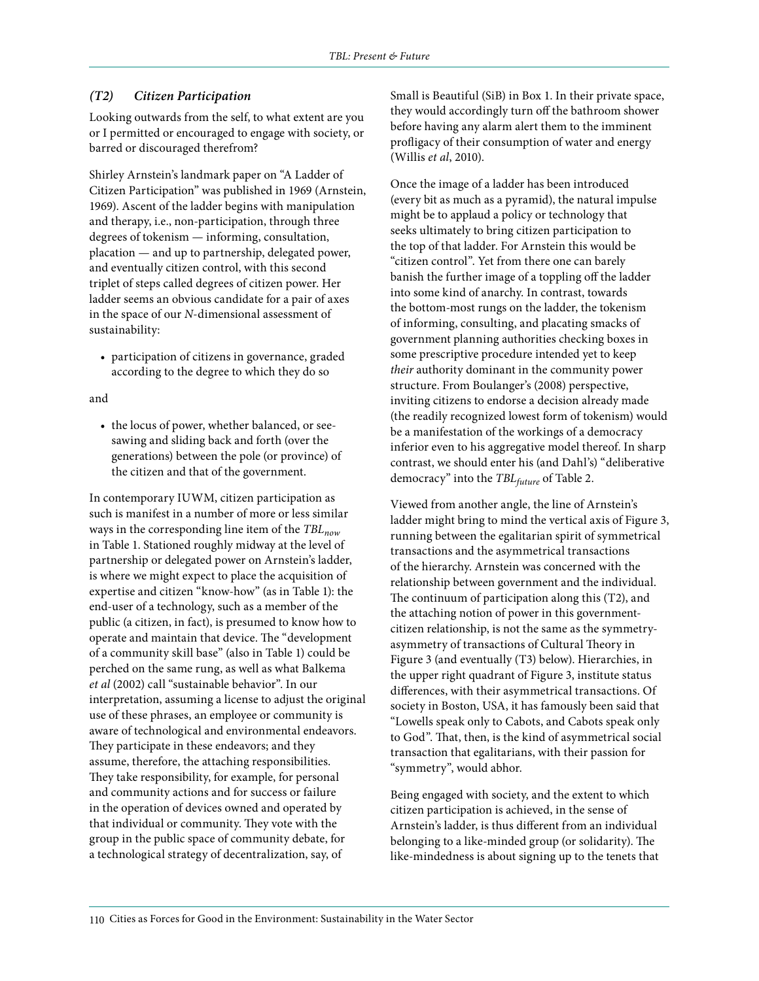#### *(T2) Citizen Participation*

Looking outwards from the self, to what extent are you or I permitted or encouraged to engage with society, or barred or discouraged therefrom?

Shirley Arnstein's landmark paper on "A Ladder of Citizen Participation" was published in 1969 (Arnstein, 1969). Ascent of the ladder begins with manipulation and therapy, i.e., non-participation, through three degrees of tokenism — informing, consultation, placation — and up to partnership, delegated power, and eventually citizen control, with this second triplet of steps called degrees of citizen power. Her ladder seems an obvious candidate for a pair of axes in the space of our *N*-dimensional assessment of sustainability:

• participation of citizens in governance, graded according to the degree to which they do so

#### and

• the locus of power, whether balanced, or seesawing and sliding back and forth (over the generations) between the pole (or province) of the citizen and that of the government.

In contemporary IUWM, citizen participation as such is manifest in a number of more or less similar ways in the corresponding line item of the *TBLnow* in Table 1. Stationed roughly midway at the level of partnership or delegated power on Arnstein's ladder, is where we might expect to place the acquisition of expertise and citizen "know-how" (as in Table 1): the end-user of a technology, such as a member of the public (a citizen, in fact), is presumed to know how to operate and maintain that device. The "development of a community skill base" (also in Table 1) could be perched on the same rung, as well as what Balkema *et al* (2002) call "sustainable behavior". In our interpretation, assuming a license to adjust the original use of these phrases, an employee or community is aware of technological and environmental endeavors. They participate in these endeavors; and they assume, therefore, the attaching responsibilities. They take responsibility, for example, for personal and community actions and for success or failure in the operation of devices owned and operated by that individual or community. They vote with the group in the public space of community debate, for a technological strategy of decentralization, say, of

Small is Beautiful (SiB) in Box 1. In their private space, they would accordingly turn off the bathroom shower before having any alarm alert them to the imminent profligacy of their consumption of water and energy (Willis *et al*, 2010).

Once the image of a ladder has been introduced (every bit as much as a pyramid), the natural impulse might be to applaud a policy or technology that seeks ultimately to bring citizen participation to the top of that ladder. For Arnstein this would be "citizen control". Yet from there one can barely banish the further image of a toppling off the ladder into some kind of anarchy. In contrast, towards the bottom-most rungs on the ladder, the tokenism of informing, consulting, and placating smacks of government planning authorities checking boxes in some prescriptive procedure intended yet to keep *their* authority dominant in the community power structure. From Boulanger's (2008) perspective, inviting citizens to endorse a decision already made (the readily recognized lowest form of tokenism) would be a manifestation of the workings of a democracy inferior even to his aggregative model thereof. In sharp contrast, we should enter his (and Dahl's) "deliberative democracy" into the *TBLfuture* of Table 2.

Viewed from another angle, the line of Arnstein's ladder might bring to mind the vertical axis of Figure 3, running between the egalitarian spirit of symmetrical transactions and the asymmetrical transactions of the hierarchy. Arnstein was concerned with the relationship between government and the individual. The continuum of participation along this (T2), and the attaching notion of power in this governmentcitizen relationship, is not the same as the symmetryasymmetry of transactions of Cultural Theory in Figure 3 (and eventually (T3) below). Hierarchies, in the upper right quadrant of Figure 3, institute status differences, with their asymmetrical transactions. Of society in Boston, USA, it has famously been said that "Lowells speak only to Cabots, and Cabots speak only to God". That, then, is the kind of asymmetrical social transaction that egalitarians, with their passion for "symmetry", would abhor.

Being engaged with society, and the extent to which citizen participation is achieved, in the sense of Arnstein's ladder, is thus different from an individual belonging to a like-minded group (or solidarity). The like-mindedness is about signing up to the tenets that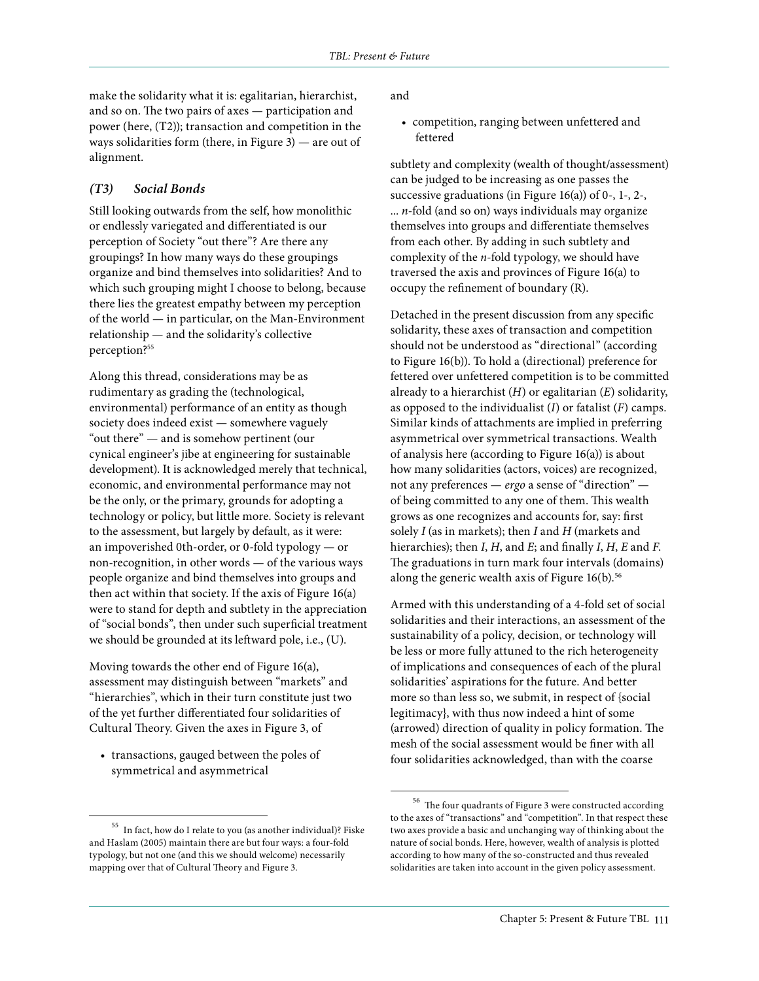make the solidarity what it is: egalitarian, hierarchist, and so on. The two pairs of axes — participation and power (here, (T2)); transaction and competition in the ways solidarities form (there, in Figure 3) — are out of alignment.

#### *(T3) Social Bonds*

Still looking outwards from the self, how monolithic or endlessly variegated and differentiated is our perception of Society "out there"? Are there any groupings? In how many ways do these groupings organize and bind themselves into solidarities? And to which such grouping might I choose to belong, because there lies the greatest empathy between my perception of the world — in particular, on the Man-Environment relationship — and the solidarity's collective perception?<sup>55</sup>

Along this thread, considerations may be as rudimentary as grading the (technological, environmental) performance of an entity as though society does indeed exist — somewhere vaguely "out there" — and is somehow pertinent (our cynical engineer's jibe at engineering for sustainable development). It is acknowledged merely that technical, economic, and environmental performance may not be the only, or the primary, grounds for adopting a technology or policy, but little more. Society is relevant to the assessment, but largely by default, as it were: an impoverished 0th-order, or 0-fold typology — or non-recognition, in other words — of the various ways people organize and bind themselves into groups and then act within that society. If the axis of Figure 16(a) were to stand for depth and subtlety in the appreciation of "social bonds", then under such superficial treatment we should be grounded at its leftward pole, i.e., (U).

Moving towards the other end of Figure 16(a), assessment may distinguish between "markets" and "hierarchies", which in their turn constitute just two of the yet further differentiated four solidarities of Cultural Theory. Given the axes in Figure 3, of

• transactions, gauged between the poles of symmetrical and asymmetrical

and

• competition, ranging between unfettered and fettered

subtlety and complexity (wealth of thought/assessment) can be judged to be increasing as one passes the successive graduations (in Figure 16(a)) of 0-, 1-, 2-, ... *n*-fold (and so on) ways individuals may organize themselves into groups and differentiate themselves from each other. By adding in such subtlety and complexity of the *n*-fold typology, we should have traversed the axis and provinces of Figure 16(a) to occupy the refinement of boundary (R).

Detached in the present discussion from any specific solidarity, these axes of transaction and competition should not be understood as "directional" (according to Figure 16(b)). To hold a (directional) preference for fettered over unfettered competition is to be committed already to a hierarchist (*H*) or egalitarian (*E*) solidarity, as opposed to the individualist (*I*) or fatalist (*F*) camps. Similar kinds of attachments are implied in preferring asymmetrical over symmetrical transactions. Wealth of analysis here (according to Figure 16(a)) is about how many solidarities (actors, voices) are recognized, not any preferences — *ergo* a sense of "direction" of being committed to any one of them. This wealth grows as one recognizes and accounts for, say: first solely *I* (as in markets); then *I* and *H* (markets and hierarchies); then *I*, *H*, and *E*; and finally *I*, *H*, *E* and *F*. The graduations in turn mark four intervals (domains) along the generic wealth axis of Figure  $16(b)$ .<sup>56</sup>

Armed with this understanding of a 4-fold set of social solidarities and their interactions, an assessment of the sustainability of a policy, decision, or technology will be less or more fully attuned to the rich heterogeneity of implications and consequences of each of the plural solidarities' aspirations for the future. And better more so than less so, we submit, in respect of {social legitimacy}, with thus now indeed a hint of some (arrowed) direction of quality in policy formation. The mesh of the social assessment would be finer with all four solidarities acknowledged, than with the coarse

 $^{\rm 55}$  In fact, how do I relate to you (as another individual)? Fiske and Haslam (2005) maintain there are but four ways: a four-fold typology, but not one (and this we should welcome) necessarily mapping over that of Cultural Theory and Figure 3.

 $^{\rm 56}$  The four quadrants of Figure 3 were constructed according to the axes of "transactions" and "competition". In that respect these two axes provide a basic and unchanging way of thinking about the nature of social bonds. Here, however, wealth of analysis is plotted according to how many of the so-constructed and thus revealed solidarities are taken into account in the given policy assessment.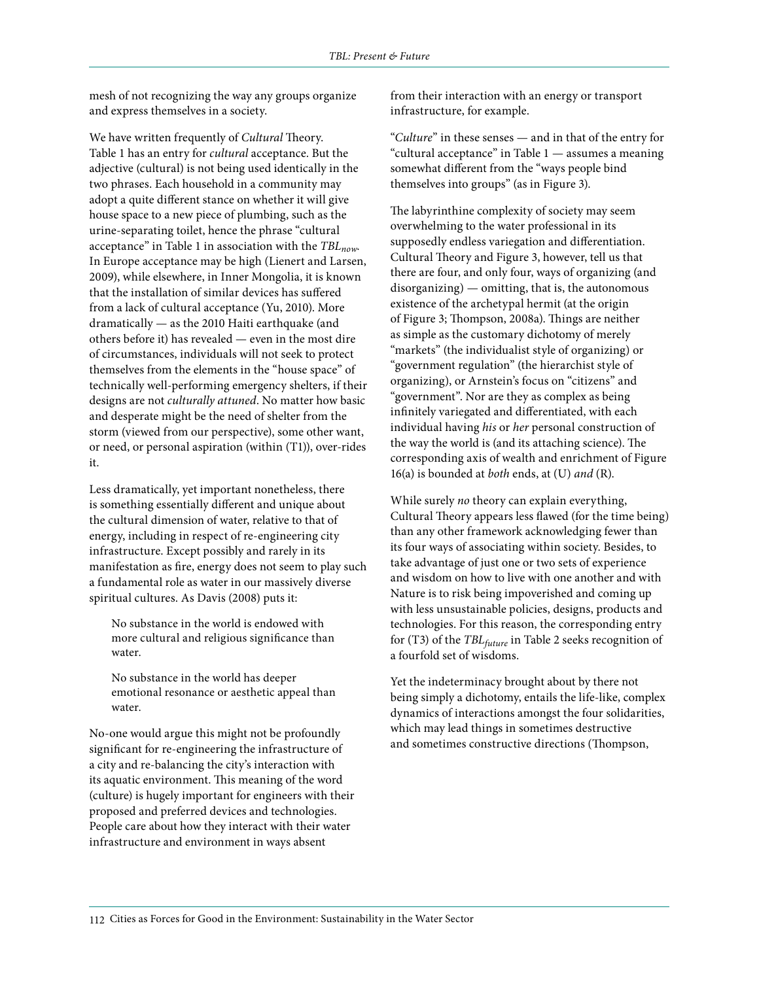mesh of not recognizing the way any groups organize and express themselves in a society.

We have written frequently of *Cultural* Theory. Table 1 has an entry for *cultural* acceptance. But the adjective (cultural) is not being used identically in the two phrases. Each household in a community may adopt a quite different stance on whether it will give house space to a new piece of plumbing, such as the urine-separating toilet, hence the phrase "cultural acceptance" in Table 1 in association with the *TBLnow*. In Europe acceptance may be high (Lienert and Larsen, 2009), while elsewhere, in Inner Mongolia, it is known that the installation of similar devices has suffered from a lack of cultural acceptance (Yu, 2010). More dramatically — as the 2010 Haiti earthquake (and others before it) has revealed — even in the most dire of circumstances, individuals will not seek to protect themselves from the elements in the "house space" of technically well-performing emergency shelters, if their designs are not *culturally attuned*. No matter how basic and desperate might be the need of shelter from the storm (viewed from our perspective), some other want, or need, or personal aspiration (within (T1)), over-rides it.

Less dramatically, yet important nonetheless, there is something essentially different and unique about the cultural dimension of water, relative to that of energy, including in respect of re-engineering city infrastructure. Except possibly and rarely in its manifestation as fire, energy does not seem to play such a fundamental role as water in our massively diverse spiritual cultures. As Davis (2008) puts it:

No substance in the world is endowed with more cultural and religious significance than water.

No substance in the world has deeper emotional resonance or aesthetic appeal than water.

No-one would argue this might not be profoundly significant for re-engineering the infrastructure of a city and re-balancing the city's interaction with its aquatic environment. This meaning of the word (culture) is hugely important for engineers with their proposed and preferred devices and technologies. People care about how they interact with their water infrastructure and environment in ways absent

from their interaction with an energy or transport infrastructure, for example.

"*Culture*" in these senses — and in that of the entry for "cultural acceptance" in Table 1 — assumes a meaning somewhat different from the "ways people bind themselves into groups" (as in Figure 3).

The labyrinthine complexity of society may seem overwhelming to the water professional in its supposedly endless variegation and differentiation. Cultural Theory and Figure 3, however, tell us that there are four, and only four, ways of organizing (and disorganizing) — omitting, that is, the autonomous existence of the archetypal hermit (at the origin of Figure 3; Thompson, 2008a). Things are neither as simple as the customary dichotomy of merely "markets" (the individualist style of organizing) or "government regulation" (the hierarchist style of organizing), or Arnstein's focus on "citizens" and "government". Nor are they as complex as being infinitely variegated and differentiated, with each individual having *his* or *her* personal construction of the way the world is (and its attaching science). The corresponding axis of wealth and enrichment of Figure 16(a) is bounded at *both* ends, at (U) *and* (R).

While surely *no* theory can explain everything, Cultural Theory appears less flawed (for the time being) than any other framework acknowledging fewer than its four ways of associating within society. Besides, to take advantage of just one or two sets of experience and wisdom on how to live with one another and with Nature is to risk being impoverished and coming up with less unsustainable policies, designs, products and technologies. For this reason, the corresponding entry for (T3) of the *TBLfuture* in Table 2 seeks recognition of a fourfold set of wisdoms.

Yet the indeterminacy brought about by there not being simply a dichotomy, entails the life-like, complex dynamics of interactions amongst the four solidarities, which may lead things in sometimes destructive and sometimes constructive directions (Thompson,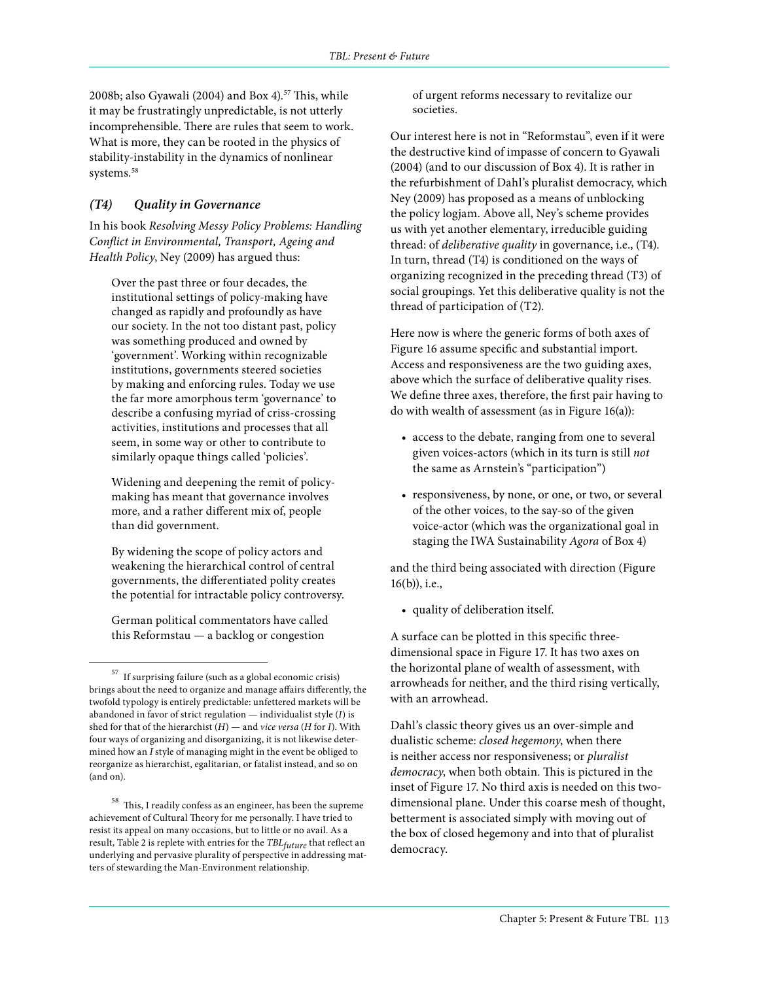2008b; also Gyawali (2004) and Box 4).<sup>57</sup> This, while it may be frustratingly unpredictable, is not utterly incomprehensible. There are rules that seem to work. What is more, they can be rooted in the physics of stability-instability in the dynamics of nonlinear systems.<sup>58</sup>

#### *(T4) Quality in Governance*

In his book *Resolving Messy Policy Problems: Handling Conflict in Environmental, Transport, Ageing and Health Policy*, Ney (2009) has argued thus:

Over the past three or four decades, the institutional settings of policy-making have changed as rapidly and profoundly as have our society. In the not too distant past, policy was something produced and owned by 'government'. Working within recognizable institutions, governments steered societies by making and enforcing rules. Today we use the far more amorphous term 'governance' to describe a confusing myriad of criss-crossing activities, institutions and processes that all seem, in some way or other to contribute to similarly opaque things called 'policies'.

Widening and deepening the remit of policymaking has meant that governance involves more, and a rather different mix of, people than did government.

By widening the scope of policy actors and weakening the hierarchical control of central governments, the differentiated polity creates the potential for intractable policy controversy.

German political commentators have called this Reformstau — a backlog or congestion

of urgent reforms necessary to revitalize our societies.

Our interest here is not in "Reformstau", even if it were the destructive kind of impasse of concern to Gyawali (2004) (and to our discussion of Box 4). It is rather in the refurbishment of Dahl's pluralist democracy, which Ney (2009) has proposed as a means of unblocking the policy logjam. Above all, Ney's scheme provides us with yet another elementary, irreducible guiding thread: of *deliberative quality* in governance, i.e., (T4). In turn, thread (T4) is conditioned on the ways of organizing recognized in the preceding thread (T3) of social groupings. Yet this deliberative quality is not the thread of participation of (T2).

Here now is where the generic forms of both axes of Figure 16 assume specific and substantial import. Access and responsiveness are the two guiding axes, above which the surface of deliberative quality rises. We define three axes, therefore, the first pair having to do with wealth of assessment (as in Figure 16(a)):

- access to the debate, ranging from one to several given voices-actors (which in its turn is still *not* the same as Arnstein's "participation")
- responsiveness, by none, or one, or two, or several of the other voices, to the say-so of the given voice-actor (which was the organizational goal in staging the IWA Sustainability *Agora* of Box 4)

and the third being associated with direction (Figure 16(b)), i.e.,

• quality of deliberation itself.

A surface can be plotted in this specific threedimensional space in Figure 17. It has two axes on the horizontal plane of wealth of assessment, with arrowheads for neither, and the third rising vertically, with an arrowhead.

Dahl's classic theory gives us an over-simple and dualistic scheme: *closed hegemony*, when there is neither access nor responsiveness; or *pluralist democracy*, when both obtain. This is pictured in the inset of Figure 17. No third axis is needed on this twodimensional plane. Under this coarse mesh of thought, betterment is associated simply with moving out of the box of closed hegemony and into that of pluralist democracy.

 $^{\rm 57}$  If surprising failure (such as a global economic crisis) brings about the need to organize and manage affairs differently, the twofold typology is entirely predictable: unfettered markets will be abandoned in favor of strict regulation — individualist style (*I*) is shed for that of the hierarchist (*H*) — and *vice versa* (*H* for *I*). With four ways of organizing and disorganizing, it is not likewise determined how an *I* style of managing might in the event be obliged to reorganize as hierarchist, egalitarian, or fatalist instead, and so on (and on).

 $^{\rm 58}$  This, I readily confess as an engineer, has been the supreme achievement of Cultural Theory for me personally. I have tried to resist its appeal on many occasions, but to little or no avail. As a result, Table 2 is replete with entries for the *TBLfuture* that reflect an underlying and pervasive plurality of perspective in addressing matters of stewarding the Man-Environment relationship.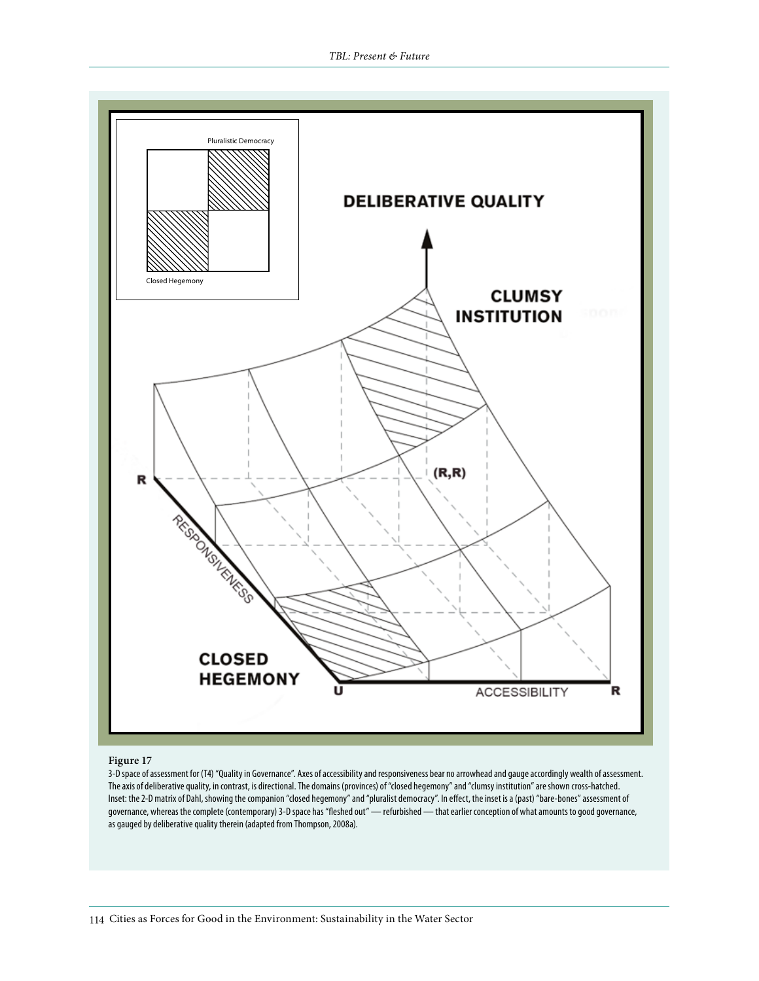

#### **Figure 17**

3-D space of assessment for (T4) "Quality in Governance". Axes of accessibility and responsiveness bear no arrowhead and gauge accordingly wealth of assessment. The axis of deliberative quality, in contrast, is directional. The domains (provinces) of "closed hegemony" and "clumsy institution" are shown cross-hatched. Inset: the 2-D matrix of Dahl, showing the companion "closed hegemony" and "pluralist democracy". In effect, the inset is a (past) "bare-bones" assessment of governance, whereas the complete (contemporary) 3-D space has "fleshed out" — refurbished — that earlier conception of what amounts to good governance, as gauged by deliberative quality therein (adapted from Thompson, 2008a).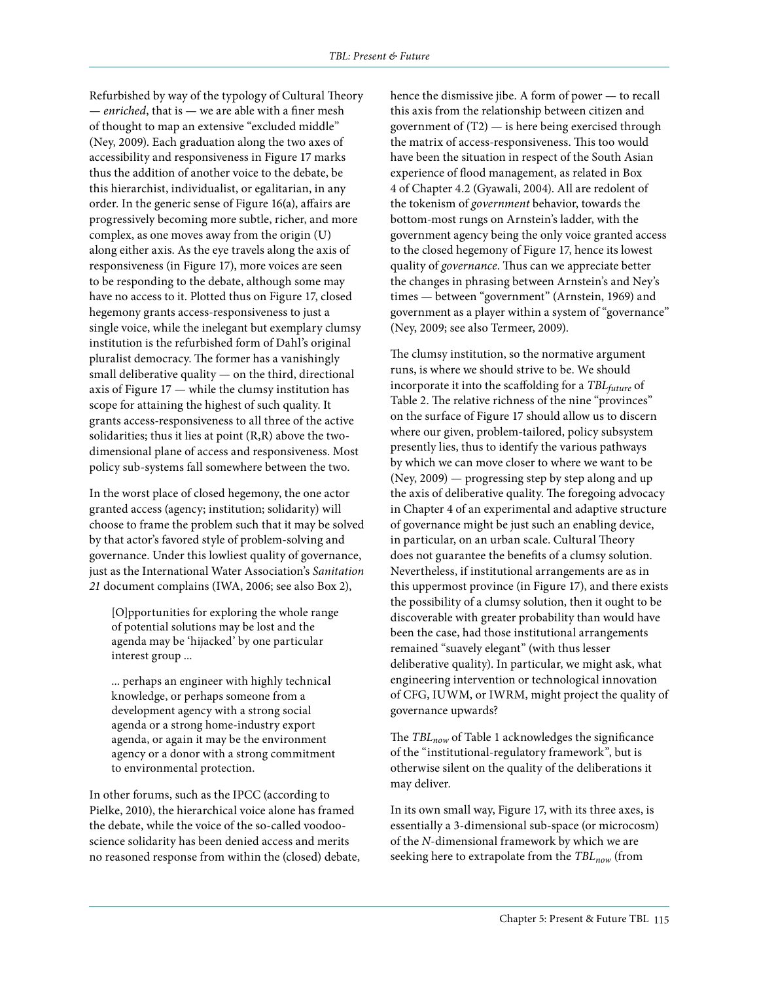Refurbished by way of the typology of Cultural Theory — *enriched*, that is — we are able with a finer mesh of thought to map an extensive "excluded middle" (Ney, 2009). Each graduation along the two axes of accessibility and responsiveness in Figure 17 marks thus the addition of another voice to the debate, be this hierarchist, individualist, or egalitarian, in any order. In the generic sense of Figure 16(a), affairs are progressively becoming more subtle, richer, and more complex, as one moves away from the origin (U) along either axis. As the eye travels along the axis of responsiveness (in Figure 17), more voices are seen to be responding to the debate, although some may have no access to it. Plotted thus on Figure 17, closed hegemony grants access-responsiveness to just a single voice, while the inelegant but exemplary clumsy institution is the refurbished form of Dahl's original pluralist democracy. The former has a vanishingly small deliberative quality — on the third, directional axis of Figure 17 — while the clumsy institution has scope for attaining the highest of such quality. It grants access-responsiveness to all three of the active solidarities; thus it lies at point (R,R) above the twodimensional plane of access and responsiveness. Most policy sub-systems fall somewhere between the two.

In the worst place of closed hegemony, the one actor granted access (agency; institution; solidarity) will choose to frame the problem such that it may be solved by that actor's favored style of problem-solving and governance. Under this lowliest quality of governance, just as the International Water Association's *Sanitation 21* document complains (IWA, 2006; see also Box 2),

[O]pportunities for exploring the whole range of potential solutions may be lost and the agenda may be 'hijacked' by one particular interest group ...

... perhaps an engineer with highly technical knowledge, or perhaps someone from a development agency with a strong social agenda or a strong home-industry export agenda, or again it may be the environment agency or a donor with a strong commitment to environmental protection.

In other forums, such as the IPCC (according to Pielke, 2010), the hierarchical voice alone has framed the debate, while the voice of the so-called voodooscience solidarity has been denied access and merits no reasoned response from within the (closed) debate, hence the dismissive jibe. A form of power — to recall this axis from the relationship between citizen and government of  $(T2)$  — is here being exercised through the matrix of access-responsiveness. This too would have been the situation in respect of the South Asian experience of flood management, as related in Box 4 of Chapter 4.2 (Gyawali, 2004). All are redolent of the tokenism of *government* behavior, towards the bottom-most rungs on Arnstein's ladder, with the government agency being the only voice granted access to the closed hegemony of Figure 17, hence its lowest quality of *governance*. Thus can we appreciate better the changes in phrasing between Arnstein's and Ney's times — between "government" (Arnstein, 1969) and government as a player within a system of "governance" (Ney, 2009; see also Termeer, 2009).

The clumsy institution, so the normative argument runs, is where we should strive to be. We should incorporate it into the scaffolding for a *TBL<sub>future</sub>* of Table 2. The relative richness of the nine "provinces" on the surface of Figure 17 should allow us to discern where our given, problem-tailored, policy subsystem presently lies, thus to identify the various pathways by which we can move closer to where we want to be (Ney, 2009) — progressing step by step along and up the axis of deliberative quality. The foregoing advocacy in Chapter 4 of an experimental and adaptive structure of governance might be just such an enabling device, in particular, on an urban scale. Cultural Theory does not guarantee the benefits of a clumsy solution. Nevertheless, if institutional arrangements are as in this uppermost province (in Figure 17), and there exists the possibility of a clumsy solution, then it ought to be discoverable with greater probability than would have been the case, had those institutional arrangements remained "suavely elegant" (with thus lesser deliberative quality). In particular, we might ask, what engineering intervention or technological innovation of CFG, IUWM, or IWRM, might project the quality of governance upwards?

The *TBL<sub>now</sub>* of Table 1 acknowledges the significance of the "institutional-regulatory framework", but is otherwise silent on the quality of the deliberations it may deliver.

In its own small way, Figure 17, with its three axes, is essentially a 3-dimensional sub-space (or microcosm) of the *N*-dimensional framework by which we are seeking here to extrapolate from the *TBL<sub>now</sub>* (from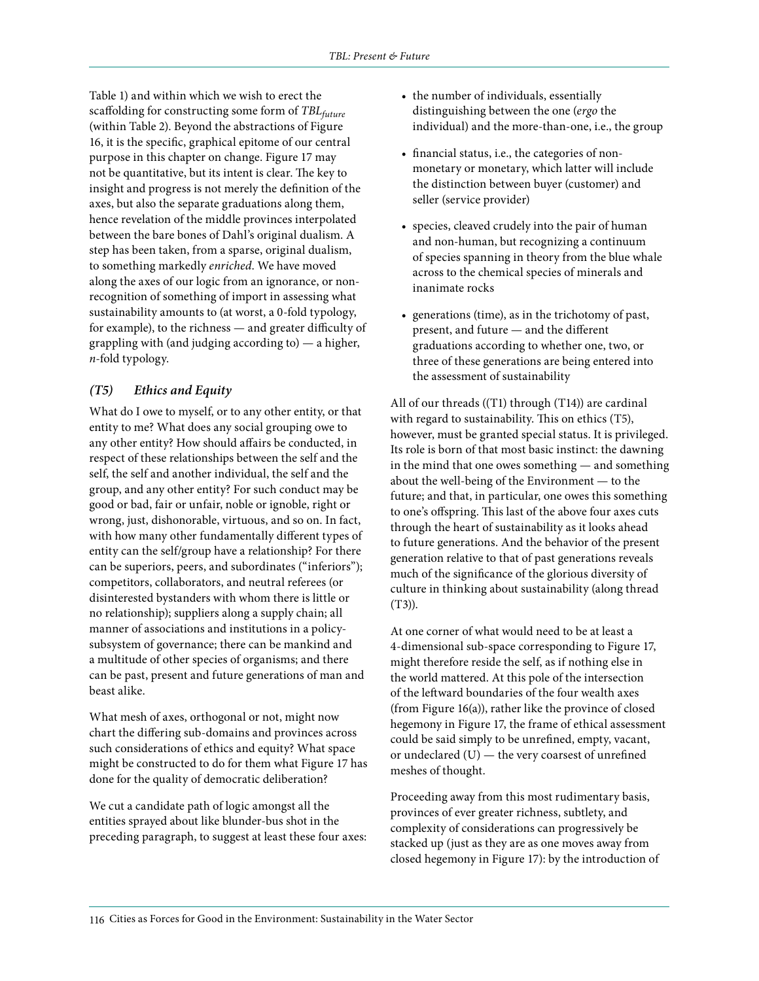Table 1) and within which we wish to erect the scaffolding for constructing some form of *TBL*<sub>future</sub> (within Table 2). Beyond the abstractions of Figure 16, it is the specific, graphical epitome of our central purpose in this chapter on change. Figure 17 may not be quantitative, but its intent is clear. The key to insight and progress is not merely the definition of the axes, but also the separate graduations along them, hence revelation of the middle provinces interpolated between the bare bones of Dahl's original dualism. A step has been taken, from a sparse, original dualism, to something markedly *enriched*. We have moved along the axes of our logic from an ignorance, or nonrecognition of something of import in assessing what sustainability amounts to (at worst, a 0-fold typology, for example), to the richness — and greater difficulty of grappling with (and judging according to) — a higher, *n*-fold typology.

#### *(T5) Ethics and Equity*

What do I owe to myself, or to any other entity, or that entity to me? What does any social grouping owe to any other entity? How should affairs be conducted, in respect of these relationships between the self and the self, the self and another individual, the self and the group, and any other entity? For such conduct may be good or bad, fair or unfair, noble or ignoble, right or wrong, just, dishonorable, virtuous, and so on. In fact, with how many other fundamentally different types of entity can the self/group have a relationship? For there can be superiors, peers, and subordinates ("inferiors"); competitors, collaborators, and neutral referees (or disinterested bystanders with whom there is little or no relationship); suppliers along a supply chain; all manner of associations and institutions in a policysubsystem of governance; there can be mankind and a multitude of other species of organisms; and there can be past, present and future generations of man and beast alike.

What mesh of axes, orthogonal or not, might now chart the differing sub-domains and provinces across such considerations of ethics and equity? What space might be constructed to do for them what Figure 17 has done for the quality of democratic deliberation?

We cut a candidate path of logic amongst all the entities sprayed about like blunder-bus shot in the preceding paragraph, to suggest at least these four axes:

- the number of individuals, essentially distinguishing between the one (*ergo* the individual) and the more-than-one, i.e., the group
- financial status, i.e., the categories of nonmonetary or monetary, which latter will include the distinction between buyer (customer) and seller (service provider)
- species, cleaved crudely into the pair of human and non-human, but recognizing a continuum of species spanning in theory from the blue whale across to the chemical species of minerals and inanimate rocks
- generations (time), as in the trichotomy of past, present, and future — and the different graduations according to whether one, two, or three of these generations are being entered into the assessment of sustainability

All of our threads ((T1) through (T14)) are cardinal with regard to sustainability. This on ethics (T5), however, must be granted special status. It is privileged. Its role is born of that most basic instinct: the dawning in the mind that one owes something — and something about the well-being of the Environment — to the future; and that, in particular, one owes this something to one's offspring. This last of the above four axes cuts through the heart of sustainability as it looks ahead to future generations. And the behavior of the present generation relative to that of past generations reveals much of the significance of the glorious diversity of culture in thinking about sustainability (along thread (T3)).

At one corner of what would need to be at least a 4-dimensional sub-space corresponding to Figure 17, might therefore reside the self, as if nothing else in the world mattered. At this pole of the intersection of the leftward boundaries of the four wealth axes (from Figure 16(a)), rather like the province of closed hegemony in Figure 17, the frame of ethical assessment could be said simply to be unrefined, empty, vacant, or undeclared (U) — the very coarsest of unrefined meshes of thought.

Proceeding away from this most rudimentary basis, provinces of ever greater richness, subtlety, and complexity of considerations can progressively be stacked up (just as they are as one moves away from closed hegemony in Figure 17): by the introduction of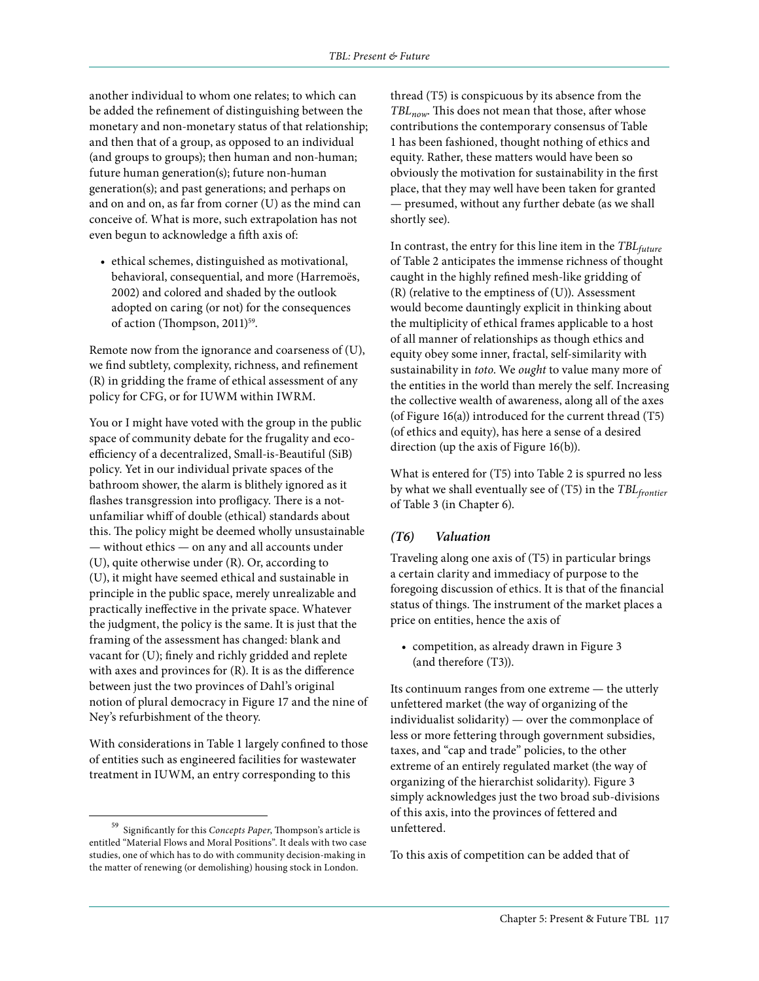another individual to whom one relates; to which can be added the refinement of distinguishing between the monetary and non-monetary status of that relationship; and then that of a group, as opposed to an individual (and groups to groups); then human and non-human; future human generation(s); future non-human generation(s); and past generations; and perhaps on and on and on, as far from corner (U) as the mind can conceive of. What is more, such extrapolation has not even begun to acknowledge a fifth axis of:

• ethical schemes, distinguished as motivational, behavioral, consequential, and more (Harremoës, 2002) and colored and shaded by the outlook adopted on caring (or not) for the consequences of action (Thompson, 2011)<sup>59</sup>.

Remote now from the ignorance and coarseness of (U), we find subtlety, complexity, richness, and refinement (R) in gridding the frame of ethical assessment of any policy for CFG, or for IUWM within IWRM.

You or I might have voted with the group in the public space of community debate for the frugality and ecoefficiency of a decentralized, Small-is-Beautiful (SiB) policy. Yet in our individual private spaces of the bathroom shower, the alarm is blithely ignored as it flashes transgression into profligacy. There is a notunfamiliar whiff of double (ethical) standards about this. The policy might be deemed wholly unsustainable — without ethics — on any and all accounts under (U), quite otherwise under (R). Or, according to (U), it might have seemed ethical and sustainable in principle in the public space, merely unrealizable and practically ineffective in the private space. Whatever the judgment, the policy is the same. It is just that the framing of the assessment has changed: blank and vacant for (U); finely and richly gridded and replete with axes and provinces for (R). It is as the difference between just the two provinces of Dahl's original notion of plural democracy in Figure 17 and the nine of Ney's refurbishment of the theory.

With considerations in Table 1 largely confined to those of entities such as engineered facilities for wastewater treatment in IUWM, an entry corresponding to this

thread (T5) is conspicuous by its absence from the *TBLnow*. This does not mean that those, after whose contributions the contemporary consensus of Table 1 has been fashioned, thought nothing of ethics and equity. Rather, these matters would have been so obviously the motivation for sustainability in the first place, that they may well have been taken for granted — presumed, without any further debate (as we shall shortly see).

In contrast, the entry for this line item in the *TBLfuture* of Table 2 anticipates the immense richness of thought caught in the highly refined mesh-like gridding of (R) (relative to the emptiness of (U)). Assessment would become dauntingly explicit in thinking about the multiplicity of ethical frames applicable to a host of all manner of relationships as though ethics and equity obey some inner, fractal, self-similarity with sustainability in *toto*. We *ought* to value many more of the entities in the world than merely the self. Increasing the collective wealth of awareness, along all of the axes (of Figure 16(a)) introduced for the current thread (T5) (of ethics and equity), has here a sense of a desired direction (up the axis of Figure 16(b)).

What is entered for (T5) into Table 2 is spurred no less by what we shall eventually see of (T5) in the *TBLfrontier* of Table 3 (in Chapter 6).

#### *(T6) Valuation*

Traveling along one axis of (T5) in particular brings a certain clarity and immediacy of purpose to the foregoing discussion of ethics. It is that of the financial status of things. The instrument of the market places a price on entities, hence the axis of

• competition, as already drawn in Figure 3 (and therefore (T3)).

Its continuum ranges from one extreme — the utterly unfettered market (the way of organizing of the individualist solidarity) — over the commonplace of less or more fettering through government subsidies, taxes, and "cap and trade" policies, to the other extreme of an entirely regulated market (the way of organizing of the hierarchist solidarity). Figure 3 simply acknowledges just the two broad sub-divisions of this axis, into the provinces of fettered and unfettered.

To this axis of competition can be added that of

<sup>59</sup> Significantly for this *Concepts Paper*, Thompson's article is entitled "Material Flows and Moral Positions". It deals with two case studies, one of which has to do with community decision-making in the matter of renewing (or demolishing) housing stock in London.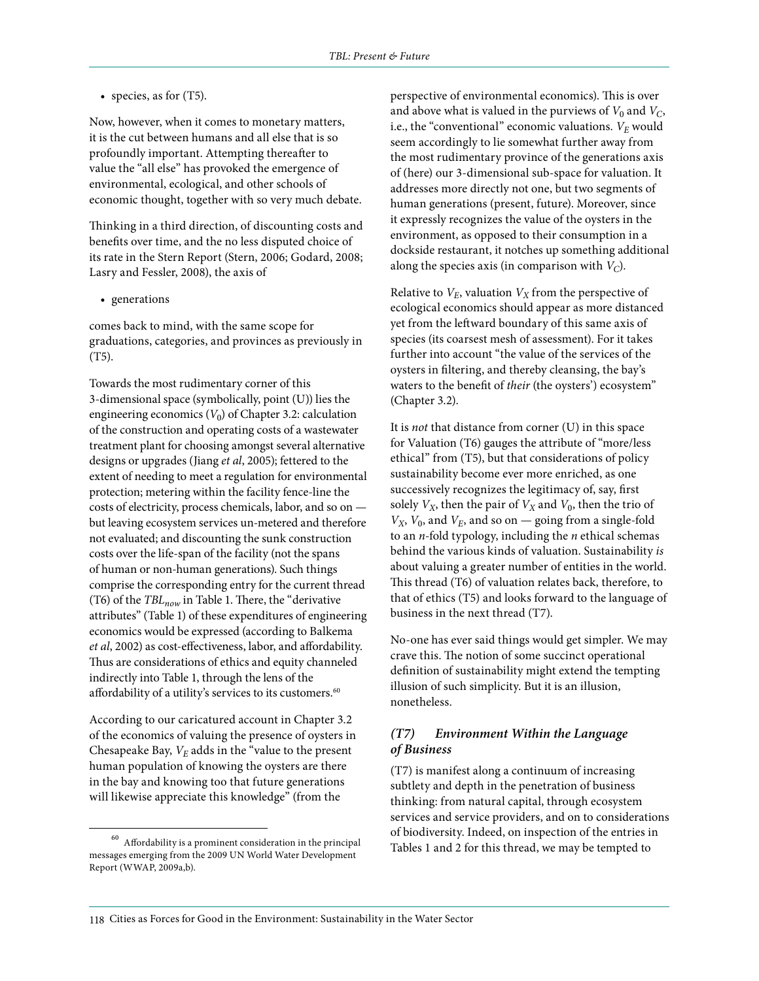• species, as for (T5).

Now, however, when it comes to monetary matters, it is the cut between humans and all else that is so profoundly important. Attempting thereafter to value the "all else" has provoked the emergence of environmental, ecological, and other schools of economic thought, together with so very much debate.

Thinking in a third direction, of discounting costs and benefits over time, and the no less disputed choice of its rate in the Stern Report (Stern, 2006; Godard, 2008; Lasry and Fessler, 2008), the axis of

• generations

comes back to mind, with the same scope for graduations, categories, and provinces as previously in (T5).

Towards the most rudimentary corner of this 3-dimensional space (symbolically, point (U)) lies the engineering economics  $(V_0)$  of Chapter 3.2: calculation of the construction and operating costs of a wastewater treatment plant for choosing amongst several alternative designs or upgrades (Jiang *et al*, 2005); fettered to the extent of needing to meet a regulation for environmental protection; metering within the facility fence-line the costs of electricity, process chemicals, labor, and so on but leaving ecosystem services un-metered and therefore not evaluated; and discounting the sunk construction costs over the life-span of the facility (not the spans of human or non-human generations). Such things comprise the corresponding entry for the current thread (T6) of the *TBLnow* in Table 1. There, the "derivative attributes" (Table 1) of these expenditures of engineering economics would be expressed (according to Balkema *et al*, 2002) as cost-effectiveness, labor, and affordability. Thus are considerations of ethics and equity channeled indirectly into Table 1, through the lens of the affordability of a utility's services to its customers.<sup>60</sup>

According to our caricatured account in Chapter 3.2 of the economics of valuing the presence of oysters in Chesapeake Bay,  $V_E$  adds in the "value to the present" human population of knowing the oysters are there in the bay and knowing too that future generations will likewise appreciate this knowledge" (from the

perspective of environmental economics). This is over and above what is valued in the purviews of  $V_0$  and  $V_C$ , i.e., the "conventional" economic valuations.  $V_E$  would seem accordingly to lie somewhat further away from the most rudimentary province of the generations axis of (here) our 3-dimensional sub-space for valuation. It addresses more directly not one, but two segments of human generations (present, future). Moreover, since it expressly recognizes the value of the oysters in the environment, as opposed to their consumption in a dockside restaurant, it notches up something additional along the species axis (in comparison with  $V_C$ ).

Relative to  $V_E$ , valuation  $V_X$  from the perspective of ecological economics should appear as more distanced yet from the leftward boundary of this same axis of species (its coarsest mesh of assessment). For it takes further into account "the value of the services of the oysters in filtering, and thereby cleansing, the bay's waters to the benefit of *their* (the oysters') ecosystem" (Chapter 3.2).

It is *not* that distance from corner (U) in this space for Valuation (T6) gauges the attribute of "more/less ethical" from (T5), but that considerations of policy sustainability become ever more enriched, as one successively recognizes the legitimacy of, say, first solely  $V_X$ , then the pair of  $V_X$  and  $V_0$ , then the trio of  $V_X$ ,  $V_0$ , and  $V_E$ , and so on — going from a single-fold to an *n*-fold typology, including the *n* ethical schemas behind the various kinds of valuation. Sustainability *is* about valuing a greater number of entities in the world. This thread (T6) of valuation relates back, therefore, to that of ethics (T5) and looks forward to the language of business in the next thread (T7).

No-one has ever said things would get simpler. We may crave this. The notion of some succinct operational definition of sustainability might extend the tempting illusion of such simplicity. But it is an illusion, nonetheless.

#### *(T7) Environment Within the Language of Business*

(T7) is manifest along a continuum of increasing subtlety and depth in the penetration of business thinking: from natural capital, through ecosystem services and service providers, and on to considerations of biodiversity. Indeed, on inspection of the entries in Tables 1 and 2 for this thread, we may be tempted to

 $^{60}\,$  Affordability is a prominent consideration in the principal messages emerging from the 2009 UN World Water Development Report (WWAP, 2009a,b).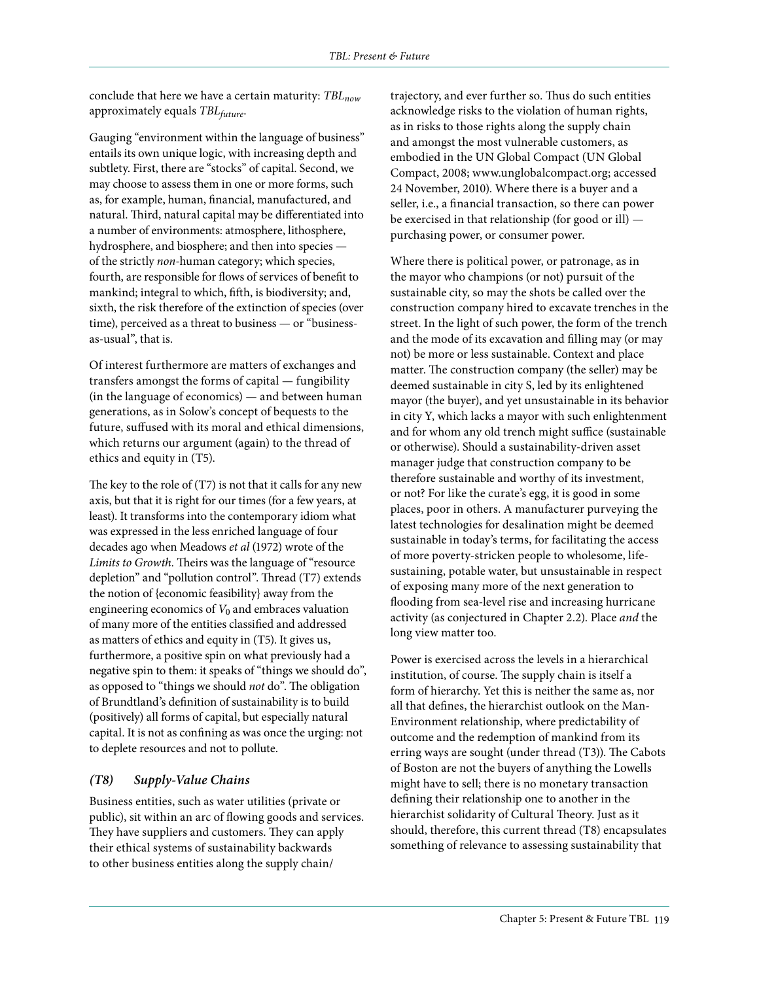conclude that here we have a certain maturity: *TBL<sub>now</sub>* approximately equals *TBLfuture*.

Gauging "environment within the language of business" entails its own unique logic, with increasing depth and subtlety. First, there are "stocks" of capital. Second, we may choose to assess them in one or more forms, such as, for example, human, financial, manufactured, and natural. Third, natural capital may be differentiated into a number of environments: atmosphere, lithosphere, hydrosphere, and biosphere; and then into species of the strictly *non*-human category; which species, fourth, are responsible for flows of services of benefit to mankind; integral to which, fifth, is biodiversity; and, sixth, the risk therefore of the extinction of species (over time), perceived as a threat to business — or "businessas-usual", that is.

Of interest furthermore are matters of exchanges and transfers amongst the forms of capital — fungibility (in the language of economics) — and between human generations, as in Solow's concept of bequests to the future, suffused with its moral and ethical dimensions, which returns our argument (again) to the thread of ethics and equity in (T5).

The key to the role of (T7) is not that it calls for any new axis, but that it is right for our times (for a few years, at least). It transforms into the contemporary idiom what was expressed in the less enriched language of four decades ago when Meadows *et al* (1972) wrote of the *Limits to Growth.* Theirs was the language of "resource depletion" and "pollution control". Thread (T7) extends the notion of {economic feasibility} away from the engineering economics of  $V_0$  and embraces valuation of many more of the entities classified and addressed as matters of ethics and equity in (T5). It gives us, furthermore, a positive spin on what previously had a negative spin to them: it speaks of "things we should do", as opposed to "things we should *not* do". The obligation of Brundtland's definition of sustainability is to build (positively) all forms of capital, but especially natural capital. It is not as confining as was once the urging: not to deplete resources and not to pollute.

# *(T8) Supply-Value Chains*

Business entities, such as water utilities (private or public), sit within an arc of flowing goods and services. They have suppliers and customers. They can apply their ethical systems of sustainability backwards to other business entities along the supply chain/

trajectory, and ever further so. Thus do such entities acknowledge risks to the violation of human rights, as in risks to those rights along the supply chain and amongst the most vulnerable customers, as embodied in the UN Global Compact (UN Global Compact, 2008; www.unglobalcompact.org; accessed 24 November, 2010). Where there is a buyer and a seller, i.e., a financial transaction, so there can power be exercised in that relationship (for good or ill) purchasing power, or consumer power.

Where there is political power, or patronage, as in the mayor who champions (or not) pursuit of the sustainable city, so may the shots be called over the construction company hired to excavate trenches in the street. In the light of such power, the form of the trench and the mode of its excavation and filling may (or may not) be more or less sustainable. Context and place matter. The construction company (the seller) may be deemed sustainable in city S, led by its enlightened mayor (the buyer), and yet unsustainable in its behavior in city Y, which lacks a mayor with such enlightenment and for whom any old trench might suffice (sustainable or otherwise). Should a sustainability-driven asset manager judge that construction company to be therefore sustainable and worthy of its investment, or not? For like the curate's egg, it is good in some places, poor in others. A manufacturer purveying the latest technologies for desalination might be deemed sustainable in today's terms, for facilitating the access of more poverty-stricken people to wholesome, lifesustaining, potable water, but unsustainable in respect of exposing many more of the next generation to flooding from sea-level rise and increasing hurricane activity (as conjectured in Chapter 2.2). Place *and* the long view matter too.

Power is exercised across the levels in a hierarchical institution, of course. The supply chain is itself a form of hierarchy. Yet this is neither the same as, nor all that defines, the hierarchist outlook on the Man-Environment relationship, where predictability of outcome and the redemption of mankind from its erring ways are sought (under thread (T3)). The Cabots of Boston are not the buyers of anything the Lowells might have to sell; there is no monetary transaction defining their relationship one to another in the hierarchist solidarity of Cultural Theory. Just as it should, therefore, this current thread (T8) encapsulates something of relevance to assessing sustainability that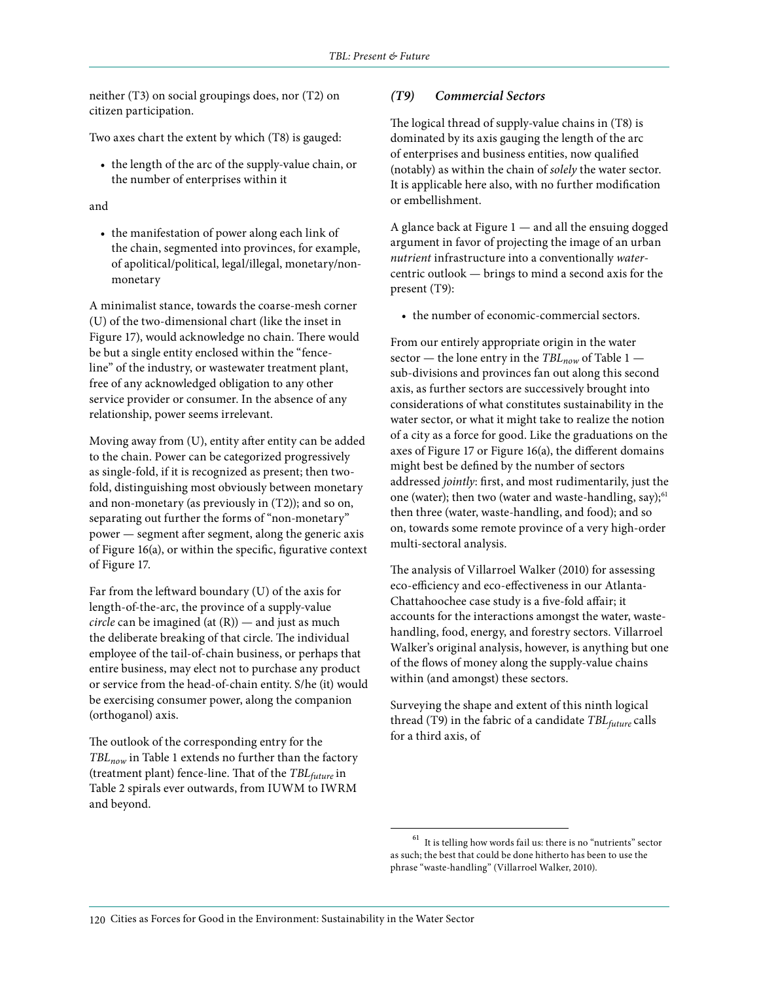neither (T3) on social groupings does, nor (T2) on citizen participation.

Two axes chart the extent by which (T8) is gauged:

• the length of the arc of the supply-value chain, or the number of enterprises within it

#### and

• the manifestation of power along each link of the chain, segmented into provinces, for example, of apolitical/political, legal/illegal, monetary/nonmonetary

A minimalist stance, towards the coarse-mesh corner (U) of the two-dimensional chart (like the inset in Figure 17), would acknowledge no chain. There would be but a single entity enclosed within the "fenceline" of the industry, or wastewater treatment plant, free of any acknowledged obligation to any other service provider or consumer. In the absence of any relationship, power seems irrelevant.

Moving away from (U), entity after entity can be added to the chain. Power can be categorized progressively as single-fold, if it is recognized as present; then twofold, distinguishing most obviously between monetary and non-monetary (as previously in (T2)); and so on, separating out further the forms of "non-monetary" power — segment after segment, along the generic axis of Figure 16(a), or within the specific, figurative context of Figure 17.

Far from the leftward boundary (U) of the axis for length-of-the-arc, the province of a supply-value *circle* can be imagined (at (R)) — and just as much the deliberate breaking of that circle. The individual employee of the tail-of-chain business, or perhaps that entire business, may elect not to purchase any product or service from the head-of-chain entity. S/he (it) would be exercising consumer power, along the companion (orthoganol) axis.

The outlook of the corresponding entry for the *TBLnow* in Table 1 extends no further than the factory (treatment plant) fence-line. That of the *TBLfuture* in Table 2 spirals ever outwards, from IUWM to IWRM and beyond.

#### *(T9) Commercial Sectors*

The logical thread of supply-value chains in (T8) is dominated by its axis gauging the length of the arc of enterprises and business entities, now qualified (notably) as within the chain of *solely* the water sector. It is applicable here also, with no further modification or embellishment.

A glance back at Figure 1 — and all the ensuing dogged argument in favor of projecting the image of an urban *nutrient* infrastructure into a conventionally *water*centric outlook — brings to mind a second axis for the present (T9):

• the number of economic-commercial sectors.

From our entirely appropriate origin in the water sector — the lone entry in the  $TBL_{now}$  of Table 1 sub-divisions and provinces fan out along this second axis, as further sectors are successively brought into considerations of what constitutes sustainability in the water sector, or what it might take to realize the notion of a city as a force for good. Like the graduations on the axes of Figure 17 or Figure 16(a), the different domains might best be defined by the number of sectors addressed *jointly*: first, and most rudimentarily, just the one (water); then two (water and waste-handling, say); $61$ then three (water, waste-handling, and food); and so on, towards some remote province of a very high-order multi-sectoral analysis.

The analysis of Villarroel Walker (2010) for assessing eco-efficiency and eco-effectiveness in our Atlanta-Chattahoochee case study is a five-fold affair; it accounts for the interactions amongst the water, wastehandling, food, energy, and forestry sectors. Villarroel Walker's original analysis, however, is anything but one of the flows of money along the supply-value chains within (and amongst) these sectors.

Surveying the shape and extent of this ninth logical thread (T9) in the fabric of a candidate *TBLfuture* calls for a third axis, of

It is telling how words fail us: there is no "nutrients" sector as such; the best that could be done hitherto has been to use the phrase "waste-handling" (Villarroel Walker, 2010).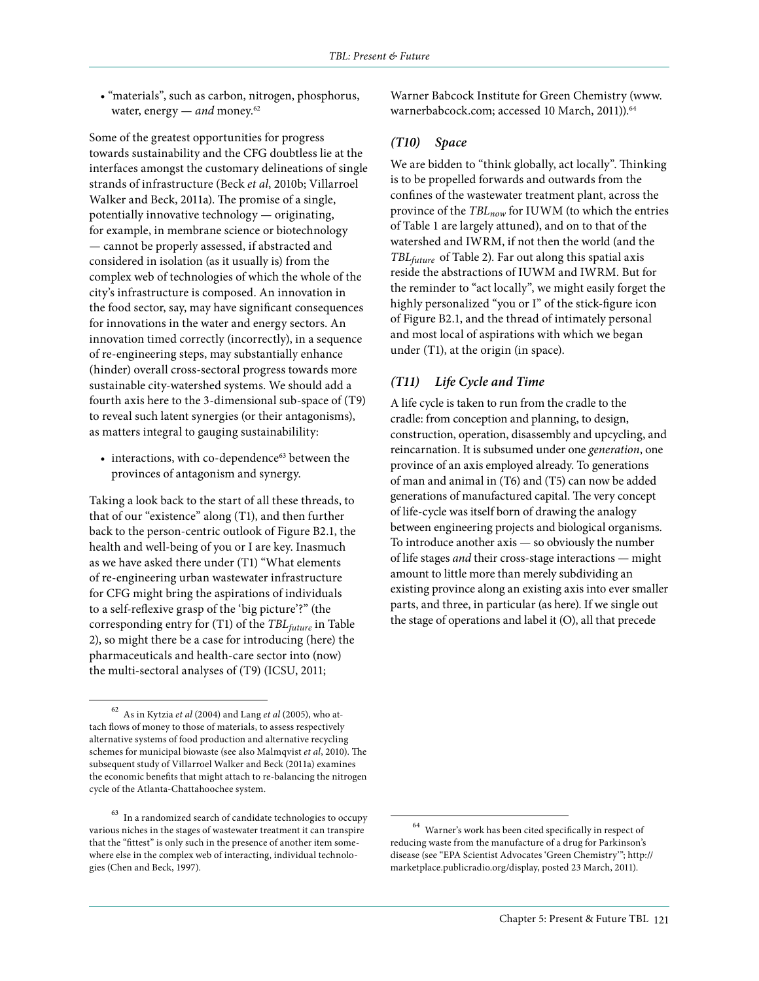• "materials", such as carbon, nitrogen, phosphorus, water, energy — *and* money.<sup>62</sup>

Some of the greatest opportunities for progress towards sustainability and the CFG doubtless lie at the interfaces amongst the customary delineations of single strands of infrastructure (Beck *et al*, 2010b; Villarroel Walker and Beck, 2011a). The promise of a single, potentially innovative technology — originating, for example, in membrane science or biotechnology — cannot be properly assessed, if abstracted and considered in isolation (as it usually is) from the complex web of technologies of which the whole of the city's infrastructure is composed. An innovation in the food sector, say, may have significant consequences for innovations in the water and energy sectors. An innovation timed correctly (incorrectly), in a sequence of re-engineering steps, may substantially enhance (hinder) overall cross-sectoral progress towards more sustainable city-watershed systems. We should add a fourth axis here to the 3-dimensional sub-space of (T9) to reveal such latent synergies (or their antagonisms), as matters integral to gauging sustainabilility:

• interactions, with co-dependence<sup>63</sup> between the provinces of antagonism and synergy.

Taking a look back to the start of all these threads, to that of our "existence" along (T1), and then further back to the person-centric outlook of Figure B2.1, the health and well-being of you or I are key. Inasmuch as we have asked there under (T1) "What elements of re-engineering urban wastewater infrastructure for CFG might bring the aspirations of individuals to a self-reflexive grasp of the 'big picture'?" (the corresponding entry for (T1) of the *TBLfuture* in Table 2), so might there be a case for introducing (here) the pharmaceuticals and health-care sector into (now) the multi-sectoral analyses of (T9) (ICSU, 2011;

Warner Babcock Institute for Green Chemistry (www. warnerbabcock.com; accessed 10 March, 2011)).<sup>64</sup>

#### *(T10) Space*

We are bidden to "think globally, act locally". Thinking is to be propelled forwards and outwards from the confines of the wastewater treatment plant, across the province of the *TBLnow* for IUWM (to which the entries of Table 1 are largely attuned), and on to that of the watershed and IWRM, if not then the world (and the *TBLfuture* of Table 2). Far out along this spatial axis reside the abstractions of IUWM and IWRM. But for the reminder to "act locally", we might easily forget the highly personalized "you or I" of the stick-figure icon of Figure B2.1, and the thread of intimately personal and most local of aspirations with which we began under (T1), at the origin (in space).

#### *(T11) Life Cycle and Time*

A life cycle is taken to run from the cradle to the cradle: from conception and planning, to design, construction, operation, disassembly and upcycling, and reincarnation. It is subsumed under one *generation*, one province of an axis employed already. To generations of man and animal in (T6) and (T5) can now be added generations of manufactured capital. The very concept of life-cycle was itself born of drawing the analogy between engineering projects and biological organisms. To introduce another axis — so obviously the number of life stages *and* their cross-stage interactions — might amount to little more than merely subdividing an existing province along an existing axis into ever smaller parts, and three, in particular (as here). If we single out the stage of operations and label it (O), all that precede

<sup>62</sup> As in Kytzia *et al* (2004) and Lang *et al* (2005), who attach flows of money to those of materials, to assess respectively alternative systems of food production and alternative recycling schemes for municipal biowaste (see also Malmqvist *et al*, 2010). The subsequent study of Villarroel Walker and Beck (2011a) examines the economic benefits that might attach to re-balancing the nitrogen cycle of the Atlanta-Chattahoochee system.

<sup>63</sup> In a randomized search of candidate technologies to occupy various niches in the stages of wastewater treatment it can transpire that the "fittest" is only such in the presence of another item somewhere else in the complex web of interacting, individual technologies (Chen and Beck, 1997).

 $^{64}\,$  Warner's work has been cited specifically in respect of reducing waste from the manufacture of a drug for Parkinson's disease (see "EPA Scientist Advocates 'Green Chemistry'"; http:// marketplace.publicradio.org/display, posted 23 March, 2011).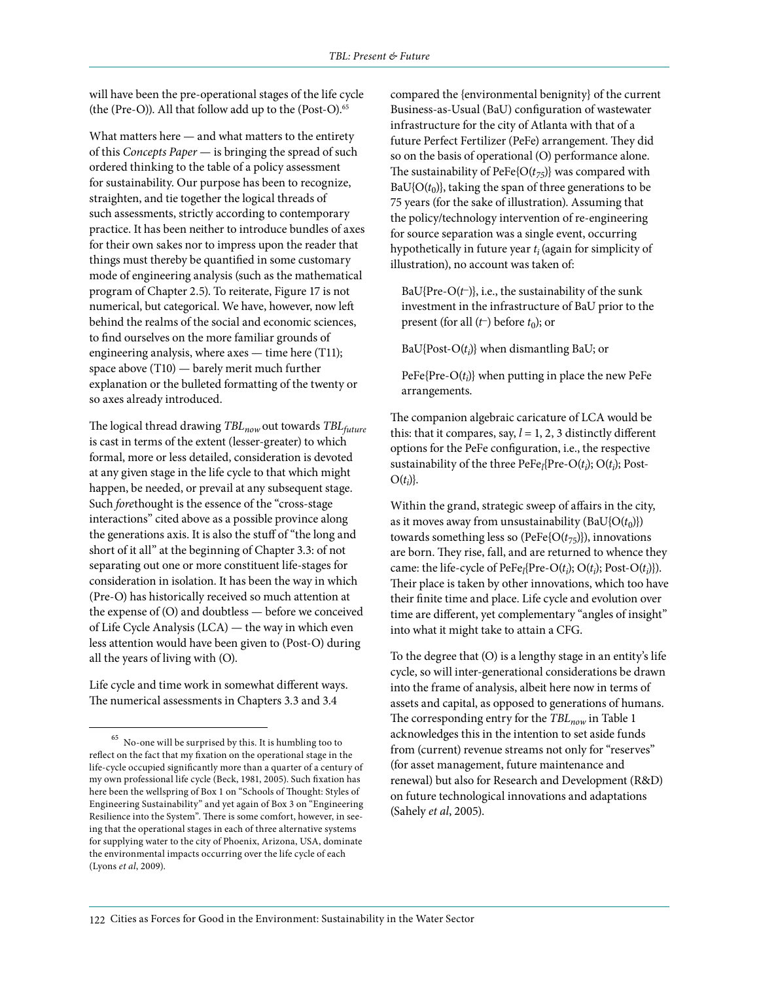will have been the pre-operational stages of the life cycle (the (Pre-O)). All that follow add up to the (Post-O).<sup>65</sup>

What matters here — and what matters to the entirety of this *Concepts Paper* — is bringing the spread of such ordered thinking to the table of a policy assessment for sustainability. Our purpose has been to recognize, straighten, and tie together the logical threads of such assessments, strictly according to contemporary practice. It has been neither to introduce bundles of axes for their own sakes nor to impress upon the reader that things must thereby be quantified in some customary mode of engineering analysis (such as the mathematical program of Chapter 2.5). To reiterate, Figure 17 is not numerical, but categorical. We have, however, now left behind the realms of the social and economic sciences, to find ourselves on the more familiar grounds of engineering analysis, where axes — time here (T11); space above (T10) — barely merit much further explanation or the bulleted formatting of the twenty or so axes already introduced.

The logical thread drawing *TBLnow* out towards *TBLfuture* is cast in terms of the extent (lesser-greater) to which formal, more or less detailed, consideration is devoted at any given stage in the life cycle to that which might happen, be needed, or prevail at any subsequent stage. Such *fore*thought is the essence of the "cross-stage interactions" cited above as a possible province along the generations axis. It is also the stuff of "the long and short of it all" at the beginning of Chapter 3.3: of not separating out one or more constituent life-stages for consideration in isolation. It has been the way in which (Pre-O) has historically received so much attention at the expense of (O) and doubtless — before we conceived of Life Cycle Analysis (LCA) — the way in which even less attention would have been given to (Post-O) during all the years of living with (O).

Life cycle and time work in somewhat different ways. The numerical assessments in Chapters 3.3 and 3.4

compared the {environmental benignity} of the current Business-as-Usual (BaU) configuration of wastewater infrastructure for the city of Atlanta with that of a future Perfect Fertilizer (PeFe) arrangement. They did so on the basis of operational (O) performance alone. The sustainability of PeFe ${O(t_{75})}$  was compared with  $BaU\{O(t_0)\}\text{, taking the span of three generations to be}$ 75 years (for the sake of illustration). Assuming that the policy/technology intervention of re-engineering for source separation was a single event, occurring hypothetically in future year *ti* (again for simplicity of illustration), no account was taken of:

BaU{Pre-O(*t−*)}, i.e., the sustainability of the sunk investment in the infrastructure of BaU prior to the present (for all (*t*−) before *t*<sub>0</sub>); or

BaU{Post-O(*ti* )} when dismantling BaU; or

PeFe{Pre-O(*ti* )} when putting in place the new PeFe arrangements.

The companion algebraic caricature of LCA would be this: that it compares, say,  $l = 1, 2, 3$  distinctly different options for the PeFe configuration, i.e., the respective sustainability of the three  $\text{PeFe}_l(\text{Pre-O}(t_i); \text{O}(t_i); \text{Post-}$  $O(t_i)$ }.

Within the grand, strategic sweep of affairs in the city, as it moves away from unsustainability  $(BaU{O(t_0)})$ towards something less so (PeFe{O(*t*75)}), innovations are born. They rise, fall, and are returned to whence they came: the life-cycle of  $\text{PeFe}_l(\text{Pre-O}(t_i); \text{O}(t_i)); \text{Post-O}(t_i))$ . Their place is taken by other innovations, which too have their finite time and place. Life cycle and evolution over time are different, yet complementary "angles of insight" into what it might take to attain a CFG.

To the degree that (O) is a lengthy stage in an entity's life cycle, so will inter-generational considerations be drawn into the frame of analysis, albeit here now in terms of assets and capital, as opposed to generations of humans. The corresponding entry for the *TBL<sub>now</sub>* in Table 1 acknowledges this in the intention to set aside funds from (current) revenue streams not only for "reserves" (for asset management, future maintenance and renewal) but also for Research and Development (R&D) on future technological innovations and adaptations (Sahely *et al*, 2005).

No-one will be surprised by this. It is humbling too to reflect on the fact that my fixation on the operational stage in the life-cycle occupied significantly more than a quarter of a century of my own professional life cycle (Beck, 1981, 2005). Such fixation has here been the wellspring of Box 1 on "Schools of Thought: Styles of Engineering Sustainability" and yet again of Box 3 on "Engineering Resilience into the System". There is some comfort, however, in seeing that the operational stages in each of three alternative systems for supplying water to the city of Phoenix, Arizona, USA, dominate the environmental impacts occurring over the life cycle of each (Lyons *et al*, 2009).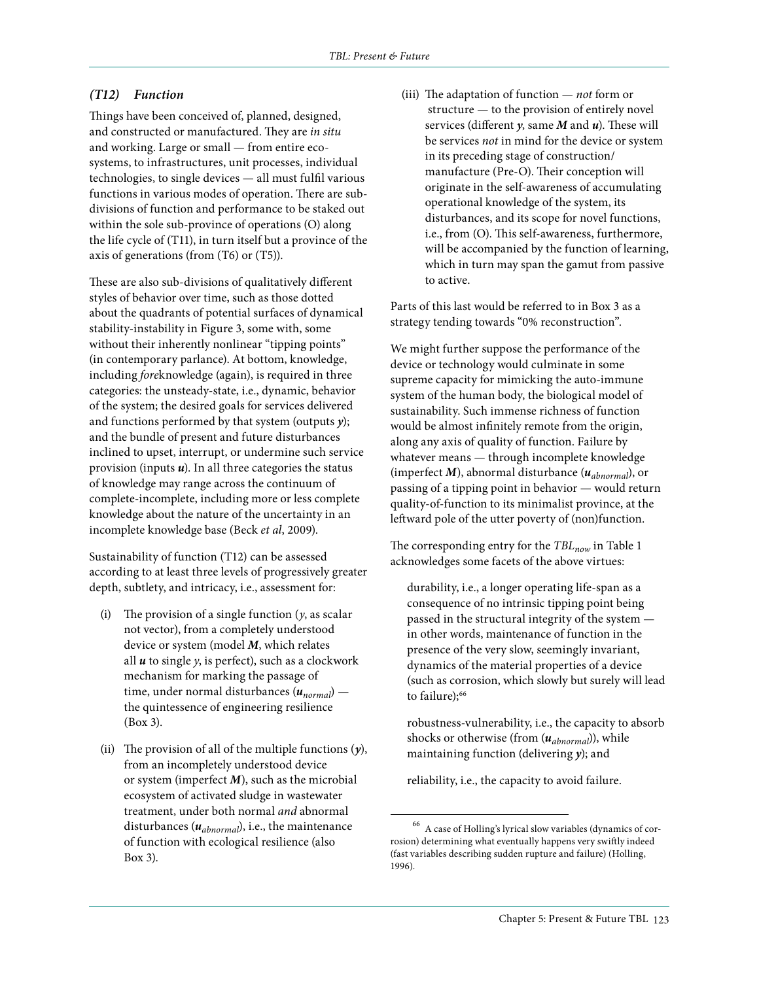#### *(T12) Function*

Things have been conceived of, planned, designed, and constructed or manufactured. They are *in situ* and working. Large or small — from entire ecosystems, to infrastructures, unit processes, individual technologies, to single devices — all must fulfil various functions in various modes of operation. There are subdivisions of function and performance to be staked out within the sole sub-province of operations (O) along the life cycle of (T11), in turn itself but a province of the axis of generations (from (T6) or (T5)).

These are also sub-divisions of qualitatively different styles of behavior over time, such as those dotted about the quadrants of potential surfaces of dynamical stability-instability in Figure 3, some with, some without their inherently nonlinear "tipping points" (in contemporary parlance). At bottom, knowledge, including *fore*knowledge (again), is required in three categories: the unsteady-state, i.e., dynamic, behavior of the system; the desired goals for services delivered and functions performed by that system (outputs *y*); and the bundle of present and future disturbances inclined to upset, interrupt, or undermine such service provision (inputs *u*). In all three categories the status of knowledge may range across the continuum of complete-incomplete, including more or less complete knowledge about the nature of the uncertainty in an incomplete knowledge base (Beck *et al*, 2009).

Sustainability of function (T12) can be assessed according to at least three levels of progressively greater depth, subtlety, and intricacy, i.e., assessment for:

- (i) The provision of a single function (*y*, as scalar not vector), from a completely understood device or system (model *M*, which relates all *u* to single *y*, is perfect), such as a clockwork mechanism for marking the passage of time, under normal disturbances (*unormal*) the quintessence of engineering resilience (Box 3).
- (ii) The provision of all of the multiple functions (*y*), from an incompletely understood device or system (imperfect *M*), such as the microbial ecosystem of activated sludge in wastewater treatment, under both normal *and* abnormal disturbances (*uabnormal*), i.e., the maintenance of function with ecological resilience (also Box 3).

(iii) The adaptation of function — *not* form or structure — to the provision of entirely novel services (different *y*, same *M* and *u*). These will be services *not* in mind for the device or system in its preceding stage of construction/ manufacture (Pre-O). Their conception will originate in the self-awareness of accumulating operational knowledge of the system, its disturbances, and its scope for novel functions, i.e., from (O). This self-awareness, furthermore, will be accompanied by the function of learning, which in turn may span the gamut from passive to active.

Parts of this last would be referred to in Box 3 as a strategy tending towards "0% reconstruction".

We might further suppose the performance of the device or technology would culminate in some supreme capacity for mimicking the auto-immune system of the human body, the biological model of sustainability. Such immense richness of function would be almost infinitely remote from the origin, along any axis of quality of function. Failure by whatever means — through incomplete knowledge (imperfect *M*), abnormal disturbance (*uabnormal*), or passing of a tipping point in behavior — would return quality-of-function to its minimalist province, at the leftward pole of the utter poverty of (non)function.

The corresponding entry for the *TBL<sub>now</sub>* in Table 1 acknowledges some facets of the above virtues:

durability, i.e., a longer operating life-span as a consequence of no intrinsic tipping point being passed in the structural integrity of the system in other words, maintenance of function in the presence of the very slow, seemingly invariant, dynamics of the material properties of a device (such as corrosion, which slowly but surely will lead to failure);<sup>66</sup>

robustness-vulnerability, i.e., the capacity to absorb shocks or otherwise (from (*uabnormal*)), while maintaining function (delivering *y*); and

reliability, i.e., the capacity to avoid failure.

<sup>66</sup> A case of Holling's lyrical slow variables (dynamics of corrosion) determining what eventually happens very swiftly indeed (fast variables describing sudden rupture and failure) (Holling, 1996).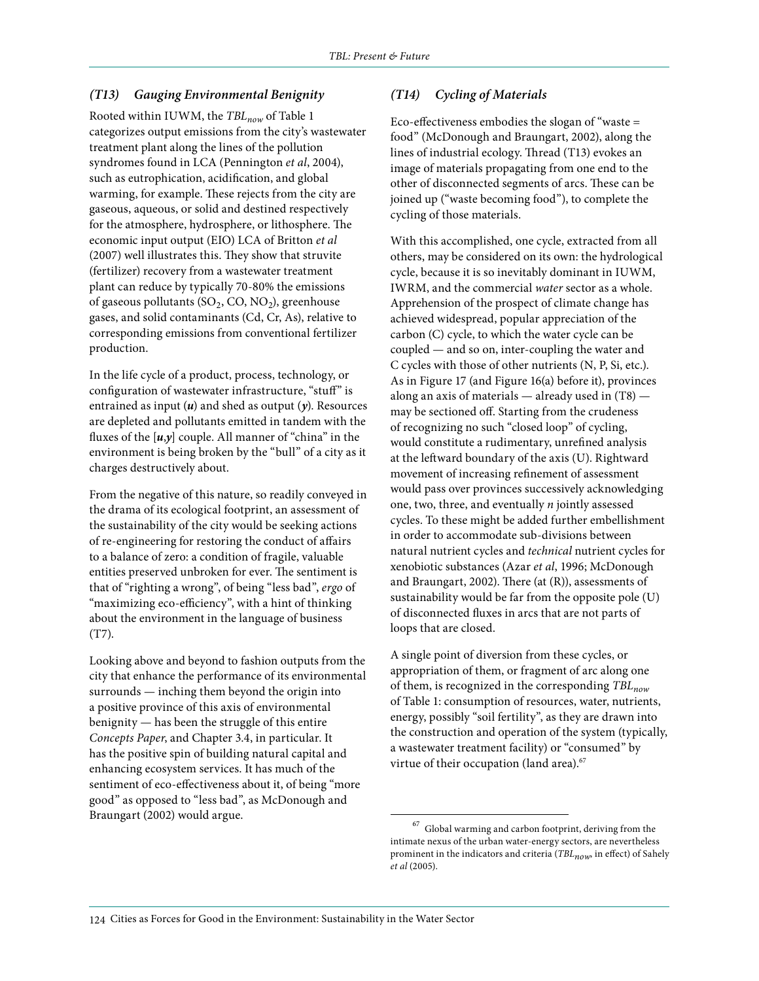### *(T13) Gauging Environmental Benignity*

Rooted within IUWM, the *TBLnow* of Table 1 categorizes output emissions from the city's wastewater treatment plant along the lines of the pollution syndromes found in LCA (Pennington *et al*, 2004), such as eutrophication, acidification, and global warming, for example. These rejects from the city are gaseous, aqueous, or solid and destined respectively for the atmosphere, hydrosphere, or lithosphere. The economic input output (EIO) LCA of Britton *et al* (2007) well illustrates this. They show that struvite (fertilizer) recovery from a wastewater treatment plant can reduce by typically 70-80% the emissions of gaseous pollutants  $(SO_2, CO, NO_2)$ , greenhouse gases, and solid contaminants (Cd, Cr, As), relative to corresponding emissions from conventional fertilizer production.

In the life cycle of a product, process, technology, or configuration of wastewater infrastructure, "stuff" is entrained as input (*u*) and shed as output (*y*). Resources are depleted and pollutants emitted in tandem with the fluxes of the [*u*,*y*] couple. All manner of "china" in the environment is being broken by the "bull" of a city as it charges destructively about.

From the negative of this nature, so readily conveyed in the drama of its ecological footprint, an assessment of the sustainability of the city would be seeking actions of re-engineering for restoring the conduct of affairs to a balance of zero: a condition of fragile, valuable entities preserved unbroken for ever. The sentiment is that of "righting a wrong", of being "less bad", *ergo* of "maximizing eco-efficiency", with a hint of thinking about the environment in the language of business (T7).

Looking above and beyond to fashion outputs from the city that enhance the performance of its environmental surrounds — inching them beyond the origin into a positive province of this axis of environmental benignity — has been the struggle of this entire *Concepts Paper*, and Chapter 3.4, in particular. It has the positive spin of building natural capital and enhancing ecosystem services. It has much of the sentiment of eco-effectiveness about it, of being "more good" as opposed to "less bad", as McDonough and Braungart (2002) would argue.

# *(T14) Cycling of Materials*

Eco-effectiveness embodies the slogan of "waste = food" (McDonough and Braungart, 2002), along the lines of industrial ecology. Thread (T13) evokes an image of materials propagating from one end to the other of disconnected segments of arcs. These can be joined up ("waste becoming food"), to complete the cycling of those materials.

With this accomplished, one cycle, extracted from all others, may be considered on its own: the hydrological cycle, because it is so inevitably dominant in IUWM, IWRM, and the commercial *water* sector as a whole. Apprehension of the prospect of climate change has achieved widespread, popular appreciation of the carbon (C) cycle, to which the water cycle can be coupled — and so on, inter-coupling the water and C cycles with those of other nutrients (N, P, Si, etc.). As in Figure 17 (and Figure 16(a) before it), provinces along an axis of materials — already used in (T8) may be sectioned off. Starting from the crudeness of recognizing no such "closed loop" of cycling, would constitute a rudimentary, unrefined analysis at the leftward boundary of the axis (U). Rightward movement of increasing refinement of assessment would pass over provinces successively acknowledging one, two, three, and eventually *n* jointly assessed cycles. To these might be added further embellishment in order to accommodate sub-divisions between natural nutrient cycles and *technical* nutrient cycles for xenobiotic substances (Azar *et al*, 1996; McDonough and Braungart, 2002). There (at (R)), assessments of sustainability would be far from the opposite pole (U) of disconnected fluxes in arcs that are not parts of loops that are closed.

A single point of diversion from these cycles, or appropriation of them, or fragment of arc along one of them, is recognized in the corresponding *TBLnow* of Table 1: consumption of resources, water, nutrients, energy, possibly "soil fertility", as they are drawn into the construction and operation of the system (typically, a wastewater treatment facility) or "consumed" by virtue of their occupation (land area).<sup>67</sup>

 $^{67}\,$  Global warming and carbon footprint, deriving from the intimate nexus of the urban water-energy sectors, are nevertheless prominent in the indicators and criteria (*TBL<sub>now*</sub>, in effect)</sub> of Sahely *et al* (2005).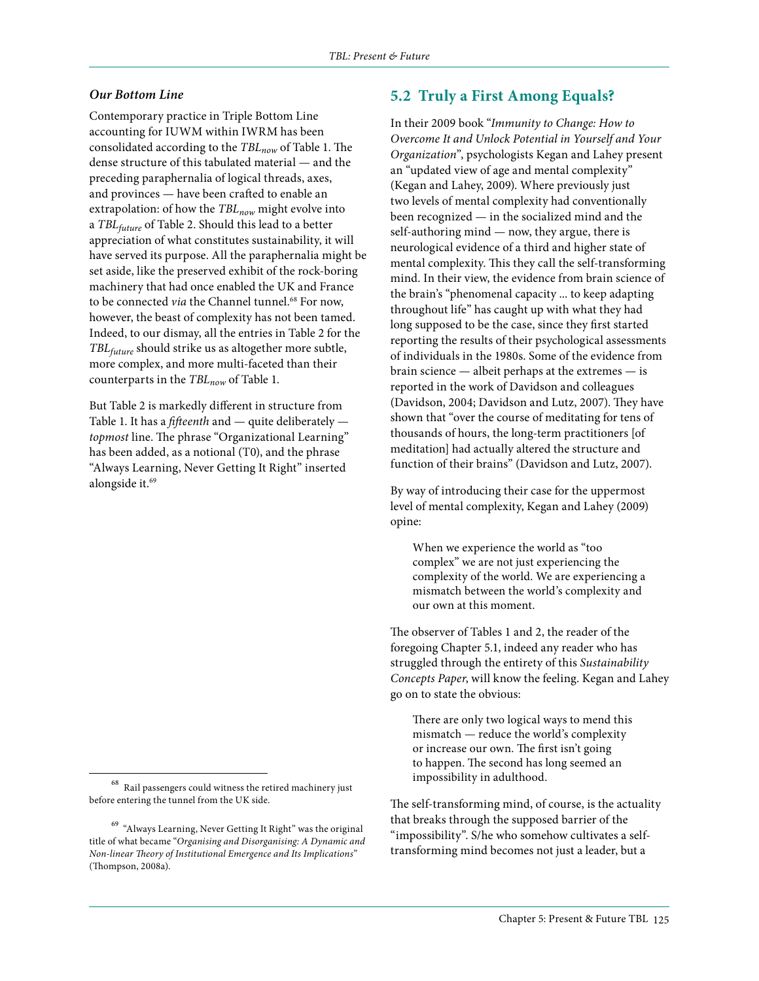#### *Our Bottom Line*

Contemporary practice in Triple Bottom Line accounting for IUWM within IWRM has been consolidated according to the *TBLnow* of Table 1. The dense structure of this tabulated material — and the preceding paraphernalia of logical threads, axes, and provinces — have been crafted to enable an extrapolation: of how the *TBL<sub>now</sub>* might evolve into a *TBLfuture* of Table 2. Should this lead to a better appreciation of what constitutes sustainability, it will have served its purpose. All the paraphernalia might be set aside, like the preserved exhibit of the rock-boring machinery that had once enabled the UK and France to be connected *via* the Channel tunnel.<sup>68</sup> For now, however, the beast of complexity has not been tamed. Indeed, to our dismay, all the entries in Table 2 for the *TBLfuture* should strike us as altogether more subtle, more complex, and more multi-faceted than their counterparts in the *TBL<sub>now</sub>* of Table 1.

But Table 2 is markedly different in structure from Table 1. It has a *fifteenth* and — quite deliberately *topmost* line. The phrase "Organizational Learning" has been added, as a notional (T0), and the phrase "Always Learning, Never Getting It Right" inserted alongside it.<sup>69</sup>

# **5.2 Truly a First Among Equals?**

In their 2009 book "*Immunity to Change: How to Overcome It and Unlock Potential in Yourself and Your Organization*", psychologists Kegan and Lahey present an "updated view of age and mental complexity" (Kegan and Lahey, 2009). Where previously just two levels of mental complexity had conventionally been recognized — in the socialized mind and the self-authoring mind — now, they argue, there is neurological evidence of a third and higher state of mental complexity. This they call the self-transforming mind. In their view, the evidence from brain science of the brain's "phenomenal capacity ... to keep adapting throughout life" has caught up with what they had long supposed to be the case, since they first started reporting the results of their psychological assessments of individuals in the 1980s. Some of the evidence from brain science — albeit perhaps at the extremes — is reported in the work of Davidson and colleagues (Davidson, 2004; Davidson and Lutz, 2007). They have shown that "over the course of meditating for tens of thousands of hours, the long-term practitioners [of meditation] had actually altered the structure and function of their brains" (Davidson and Lutz, 2007).

By way of introducing their case for the uppermost level of mental complexity, Kegan and Lahey (2009) opine:

When we experience the world as "too complex" we are not just experiencing the complexity of the world. We are experiencing a mismatch between the world's complexity and our own at this moment.

The observer of Tables 1 and 2, the reader of the foregoing Chapter 5.1, indeed any reader who has struggled through the entirety of this *Sustainability Concepts Paper*, will know the feeling. Kegan and Lahey go on to state the obvious:

There are only two logical ways to mend this mismatch — reduce the world's complexity or increase our own. The first isn't going to happen. The second has long seemed an impossibility in adulthood.

The self-transforming mind, of course, is the actuality that breaks through the supposed barrier of the "impossibility". S/he who somehow cultivates a selftransforming mind becomes not just a leader, but a

 $^{68}\,$  Rail passengers could witness the retired machinery just before entering the tunnel from the UK side.

 $^{69}\,$  "Always Learning, Never Getting It Right" was the original title of what became "*Organising and Disorganising: A Dynamic and Non-linear Theory of Institutional Emergence and Its Implications*" (Thompson, 2008a).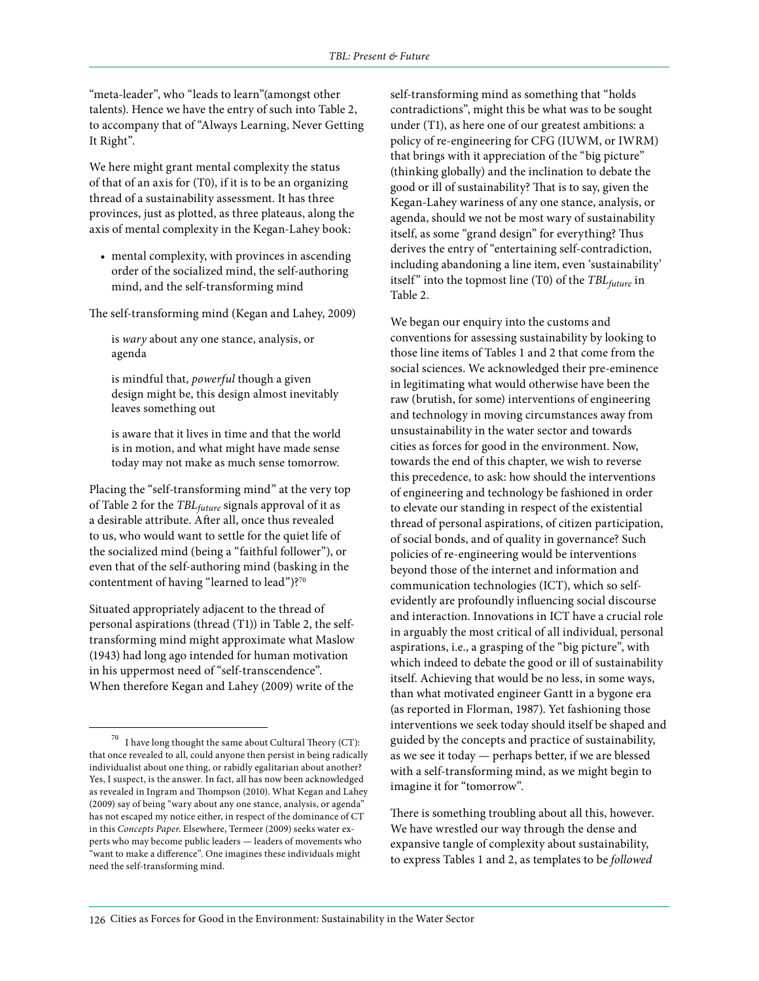"meta-leader", who "leads to learn"(amongst other talents). Hence we have the entry of such into Table 2, to accompany that of "Always Learning, Never Getting It Right".

We here might grant mental complexity the status of that of an axis for (T0), if it is to be an organizing thread of a sustainability assessment. It has three provinces, just as plotted, as three plateaus, along the axis of mental complexity in the Kegan-Lahey book:

• mental complexity, with provinces in ascending order of the socialized mind, the self-authoring mind, and the self-transforming mind

The self-transforming mind (Kegan and Lahey, 2009)

is *wary* about any one stance, analysis, or agenda

is mindful that, *powerful* though a given design might be, this design almost inevitably leaves something out

is aware that it lives in time and that the world is in motion, and what might have made sense today may not make as much sense tomorrow.

Placing the "self-transforming mind" at the very top of Table 2 for the *TBLfuture* signals approval of it as a desirable attribute. After all, once thus revealed to us, who would want to settle for the quiet life of the socialized mind (being a "faithful follower"), or even that of the self-authoring mind (basking in the contentment of having "learned to lead")?70

Situated appropriately adjacent to the thread of personal aspirations (thread (T1)) in Table 2, the selftransforming mind might approximate what Maslow (1943) had long ago intended for human motivation in his uppermost need of "self-transcendence". When therefore Kegan and Lahey (2009) write of the

self-transforming mind as something that "holds contradictions", might this be what was to be sought under (T1), as here one of our greatest ambitions: a policy of re-engineering for CFG (IUWM, or IWRM) that brings with it appreciation of the "big picture" (thinking globally) and the inclination to debate the good or ill of sustainability? That is to say, given the Kegan-Lahey wariness of any one stance, analysis, or agenda, should we not be most wary of sustainability itself, as some "grand design" for everything? Thus derives the entry of "entertaining self-contradiction, including abandoning a line item, even 'sustainability' itself" into the topmost line (T0) of the *TBL<sub>future</sub>* in Table 2.

We began our enquiry into the customs and conventions for assessing sustainability by looking to those line items of Tables 1 and 2 that come from the social sciences. We acknowledged their pre-eminence in legitimating what would otherwise have been the raw (brutish, for some) interventions of engineering and technology in moving circumstances away from unsustainability in the water sector and towards cities as forces for good in the environment. Now, towards the end of this chapter, we wish to reverse this precedence, to ask: how should the interventions of engineering and technology be fashioned in order to elevate our standing in respect of the existential thread of personal aspirations, of citizen participation, of social bonds, and of quality in governance? Such policies of re-engineering would be interventions beyond those of the internet and information and communication technologies (ICT), which so selfevidently are profoundly influencing social discourse and interaction. Innovations in ICT have a crucial role in arguably the most critical of all individual, personal aspirations, i.e., a grasping of the "big picture", with which indeed to debate the good or ill of sustainability itself. Achieving that would be no less, in some ways, than what motivated engineer Gantt in a bygone era (as reported in Florman, 1987). Yet fashioning those interventions we seek today should itself be shaped and guided by the concepts and practice of sustainability, as we see it today — perhaps better, if we are blessed with a self-transforming mind, as we might begin to imagine it for "tomorrow".

There is something troubling about all this, however. We have wrestled our way through the dense and expansive tangle of complexity about sustainability, to express Tables 1 and 2, as templates to be *followed* 

I have long thought the same about Cultural Theory (CT): that once revealed to all, could anyone then persist in being radically individualist about one thing, or rabidly egalitarian about another? Yes, I suspect, is the answer. In fact, all has now been acknowledged as revealed in Ingram and Thompson (2010). What Kegan and Lahey (2009) say of being "wary about any one stance, analysis, or agenda" has not escaped my notice either, in respect of the dominance of CT in this *Concepts Paper*. Elsewhere, Termeer (2009) seeks water experts who may become public leaders — leaders of movements who "want to make a difference". One imagines these individuals might need the self-transforming mind.